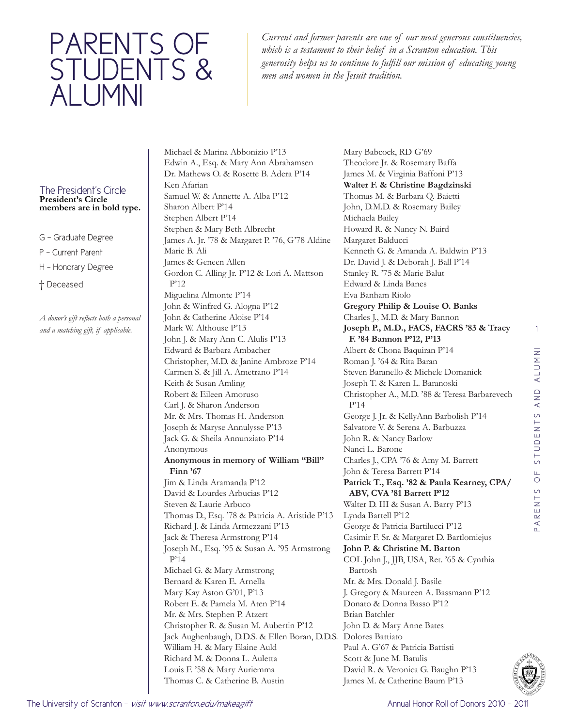## PARENTS OF STUDENTS & ALUMNI

*Current and former parents are one of our most generous constituencies, which is a testament to their belief in a Scranton education. This generosity helps us to continue to fulfill our mission of educating young men and women in the Jesuit tradition.*

## The President's Circle **President's Circle members are in bold type.**

- G Graduate Degree
- P Current Parent
- H Honorary Degree
- † Deceased

*A donor's gift reflects both a personal and a matching gift, if applicable.* 

Michael & Marina Abbonizio P'13 Edwin A., Esq. & Mary Ann Abrahamsen Dr. Mathews O. & Rosette B. Adera P'14 Ken Afarian Samuel W. & Annette A. Alba P'12 Sharon Albert P'14 Stephen Albert P'14 Stephen & Mary Beth Albrecht James A. Jr. '78 & Margaret P. '76, G'78 Aldine Marie B. Ali James & Geneen Allen Gordon C. Alling Jr. P'12 & Lori A. Mattson P'12 Miguelina Almonte P'14 John & Winfred G. Alogna P'12 John & Catherine Aloise P'14 Mark W. Althouse P'13 John J. & Mary Ann C. Alulis P'13 Edward & Barbara Ambacher Christopher, M.D. & Janine Ambroze P'14 Carmen S. & Jill A. Ametrano P'14 Keith & Susan Amling Robert & Eileen Amoruso Carl J. & Sharon Anderson Mr. & Mrs. Thomas H. Anderson Joseph & Maryse Annulysse P'13 Jack G. & Sheila Annunziato P'14 Anonymous **Anonymous in memory of William "Bill" Finn '67** Jim & Linda Aramanda P'12 David & Lourdes Arbucias P'12 Steven & Laurie Arbuco Thomas D., Esq. '78 & Patricia A. Aristide P'13 Richard J. & Linda Armezzani P'13 Jack & Theresa Armstrong P'14 Joseph M., Esq. '95 & Susan A. '95 Armstrong P'14 Michael G. & Mary Armstrong Bernard & Karen E. Arnella Mary Kay Aston G'01, P'13 Robert E. & Pamela M. Aten P'14 Mr. & Mrs. Stephen P. Atzert Christopher R. & Susan M. Aubertin P'12 Jack Aughenbaugh, D.D.S. & Ellen Boran, D.D.S. Dolores Battiato William H. & Mary Elaine Auld Richard M. & Donna L. Auletta Louis F. '58 & Mary Auriemma Thomas C. & Catherine B. Austin

Mary Babcock, RD G'69 Theodore Jr. & Rosemary Baffa James M. & Virginia Baffoni P'13 **Walter F. & Christine Bagdzinski** Thomas M. & Barbara Q. Baietti John, D.M.D. & Rosemary Bailey Michaela Bailey Howard R. & Nancy N. Baird Margaret Balducci Kenneth G. & Amanda A. Baldwin P'13 Dr. David J. & Deborah J. Ball P'14 Stanley R. '75 & Marie Balut Edward & Linda Banes Eva Banham Riolo **Gregory Philip & Louise O. Banks** Charles J., M.D. & Mary Bannon **Joseph P., M.D., FACS, FACRS '83 & Tracy F. '84 Bannon P'12, P'13** Albert & Chona Baquiran P'14 Roman J. '64 & Rita Baran Steven Baranello & Michele Domanick Joseph T. & Karen L. Baranoski Christopher A., M.D. '88 & Teresa Barbarevech P'14 George J. Jr. & KellyAnn Barbolish P'14 Salvatore V. & Serena A. Barbuzza John R. & Nancy Barlow Nanci L. Barone Charles J., CPA '76 & Amy M. Barrett John & Teresa Barrett P'14 **Patrick T., Esq. '82 & Paula Kearney, CPA/ ABV, CVA '81 Barrett P'12** Walter D. III & Susan A. Barry P'13 Lynda Bartell P'12 George & Patricia Bartilucci P'12 Casimir F. Sr. & Margaret D. Bartlomiejus **John P. & Christine M. Barton** COL John J., JJB, USA, Ret. '65 & Cynthia Bartosh Mr. & Mrs. Donald J. Basile J. Gregory & Maureen A. Bassmann P'12 Donato & Donna Basso P'12 Brian Batchler John D. & Mary Anne Bates Paul A. G'67 & Patricia Battisti Scott & June M. Batulis David R. & Veronica G. Baughn P'13



James M. & Catherine Baum P'13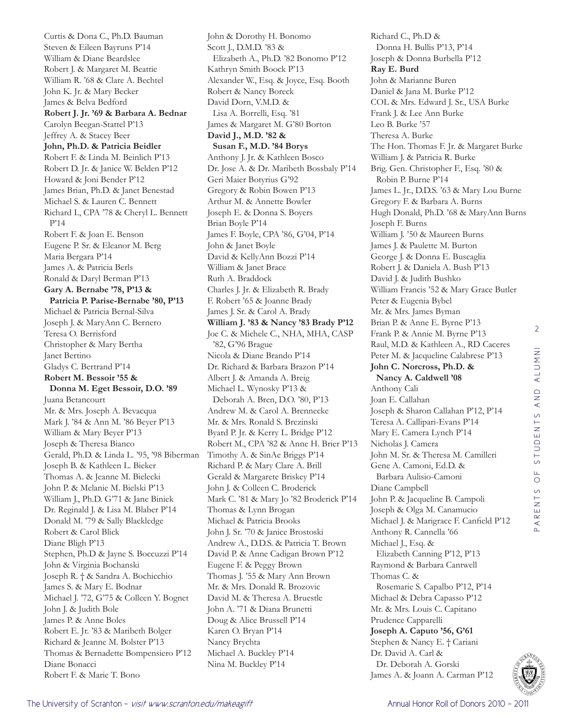Curtis & Dona C., Ph.D. Bauman Steven & Eileen Bayruns P'14 William & Diane Beardslee Robert J. & Margaret M. Beattie William R. '68 & Clare A. Bechtel John K. Jr. & Mary Becker James & Belva Bedford **Robert J. Jr. '69 & Barbara A. Bednar** Carolyn Beegan-Stattel P'13 Jeffrey A. & Stacey Beer **John, Ph.D. & Patricia Beidler** Robert F. & Linda M. Beinlich P'13 Robert D. Jr. & Janice W. Belden P'12 Howard & Joni Bender P'12 James Brian, Ph.D. & Janet Benestad Michael S. & Lauren C. Bennett Richard I., CPA '78 & Cheryl L. Bennett P'14 Robert F. & Joan E. Benson Eugene P. Sr. & Eleanor M. Berg Maria Bergara P'14 James A. & Patricia Berls Ronald & Daryl Berman P'13 **Gary A. Bernabe '78, P'13 & Patricia P. Parise-Bernabe '80, P'13** Michael & Patricia Bernal-Silva Joseph J. & MaryAnn C. Bernero Teresa O. Berrisford Christopher & Mary Bertha Janet Bertino Gladys C. Bertrand P'14 **Robert M. Bessoir '55 & Donna M. Eget Bessoir, D.O. '89** Juana Betancourt Mr. & Mrs. Joseph A. Bevacqua Mark J. '84 & Ann M. '86 Beyer P'13 William & Mary Beyer P'13 Joseph & Theresa Bianco Gerald, Ph.D. & Linda L. '95, '98 Biberman Joseph B. & Kathleen L. Bieker Thomas A. & Jeanne M. Bielecki John P. & Melanie M. Bielski P'13 William J., Ph.D. G'71 & Jane Biniek Dr. Reginald J. & Lisa M. Blaber P'14 Donald M. '79 & Sally Blackledge Robert & Carol Blick Diane Bligh P'13 Stephen, Ph.D & Jayne S. Boccuzzi P'14 John & Virginia Bochanski Joseph R. † & Sandra A. Bochicchio James S. & Mary E. Bodnar Michael J. '72, G'75 & Colleen Y. Bognet John J. & Judith Bole James P. & Anne Boles Robert E. Jr. '83 & Maribeth Bolger Richard & Jeanne M. Bolster P'13 Thomas & Bernadette Bompensiero P'12 Diane Bonacci Robert F. & Marie T. Bono

John & Dorothy H. Bonomo Scott J., D.M.D. '83 & Elizabeth A., Ph.D. '82 Bonomo P'12 Kathryn Smith Boock P'13 Alexander W., Esq. & Joyce, Esq. Booth Robert & Nancy Boreck David Dorn, V.M.D. & Lisa A. Borrelli, Esq. '81 James & Margaret M. G'80 Borton **David J., M.D. '82 & Susan F., M.D. '84 Borys** Anthony J. Jr. & Kathleen Bosco Dr. Jose A. & Dr. Maribeth Bossbaly P'14 Geri Maier Botyrius G'92 Gregory & Robin Bowen P'13 Arthur M. & Annette Bowler Joseph E. & Donna S. Boyers Brian Boyle P'14 James F. Boyle, CPA '86, G'04, P'14 John & Janet Boyle David & KellyAnn Bozzi P'14 William & Janet Brace Ruth A. Braddock Charles J. Jr. & Elizabeth R. Brady F. Robert '65 & Joanne Brady James J. Sr. & Carol A. Brady **William J. '83 & Nancy '83 Brady P'12** Joe C. & Michele C., NHA, MHA, CASP '82, G'96 Brague Nicola & Diane Brando P'14 Dr. Richard & Barbara Brazon P'14 Albert J. & Amanda A. Breig Michael L. Wynosky P'13 & Deborah A. Bren, D.O. '80, P'13 Andrew M. & Carol A. Brennecke Mr. & Mrs. Ronald S. Brezinski Byard P. Jr. & Kerry L. Bridge P'12 Robert M., CPA '82 & Anne H. Brier P'13 Timothy A. & SinAe Briggs P'14 Richard P. & Mary Clare A. Brill Gerald & Margarete Briskey P'14 John J. & Colleen C. Broderick Mark C. '81 & Mary Jo '82 Broderick P'14 Thomas & Lynn Brogan Michael & Patricia Brooks John J. Sr. '70 & Janice Brostoski Andrew A., D.D.S. & Patricia T. Brown David P. & Anne Cadigan Brown P'12 Eugene F. & Peggy Brown Thomas J. '55 & Mary Ann Brown Mr. & Mrs. Donald R. Brozovic David M. & Theresa A. Bruestle John A. '71 & Diana Brunetti Doug & Alice Brussell P'14 Karen O. Bryan P'14 Nancy Brychta Michael A. Buckley P'14 Nina M. Buckley P'14

Richard C., Ph.D & Donna H. Bullis P'13, P'14 Joseph & Donna Burbella P'12 **Ray E. Burd**  John & Marianne Buren Daniel & Jana M. Burke P'12 COL & Mrs. Edward J. Sr., USA Burke Frank J. & Lee Ann Burke Leo B. Burke '57 Theresa A. Burke The Hon. Thomas F. Jr. & Margaret Burke William J. & Patricia R. Burke Brig. Gen. Christopher F., Esq. '80 & Robin P. Burne P'14 James L. Jr., D.D.S. '63 & Mary Lou Burne Gregory F. & Barbara A. Burns Hugh Donald, Ph.D. '68 & MaryAnn Burns Joseph F. Burns William J. '50 & Maureen Burns James J. & Paulette M. Burton George J. & Donna E. Buscaglia Robert J. & Daniela A. Bush P'13 David J. & Judith Bushko William Francis '52 & Mary Grace Butler Peter & Eugenia Bybel Mr. & Mrs. James Byman Brian P. & Anne E. Byrne P'13 Frank P. & Annie M. Byrne P'13 Raul, M.D. & Kathleen A., RD Caceres Peter M. & Jacqueline Calabrese P'13 **John C. Norcross, Ph.D. & Nancy A. Caldwell '08** Anthony Cali Joan E. Callahan Joseph & Sharon Callahan P'12, P'14 Teresa A. Callipari-Evans P'14 Mary E. Camera Lynch P'14 Nicholas J. Camera John M. Sr. & Theresa M. Camilleri Gene A. Camoni, Ed.D. & Barbara Aulisio-Camoni Diane Campbell John P. & Jacqueline B. Campoli Joseph & Olga M. Canamucio Michael J. & Marigrace F. Canfield P'12 Anthony R. Cannella '66 Michael J., Esq. & Elizabeth Canning P'12, P'13 Raymond & Barbara Cantwell Thomas C. & Rosemarie S. Capalbo P'12, P'14 Michael & Debra Capasso P'12 Mr. & Mrs. Louis C. Capitano Prudence Capparelli **Joseph A. Caputo '56, G'61** Stephen & Nancy E. † Cariani Dr. David A. Carl & Dr. Deborah A. Gorski James A. & Joann A. Carman P'12

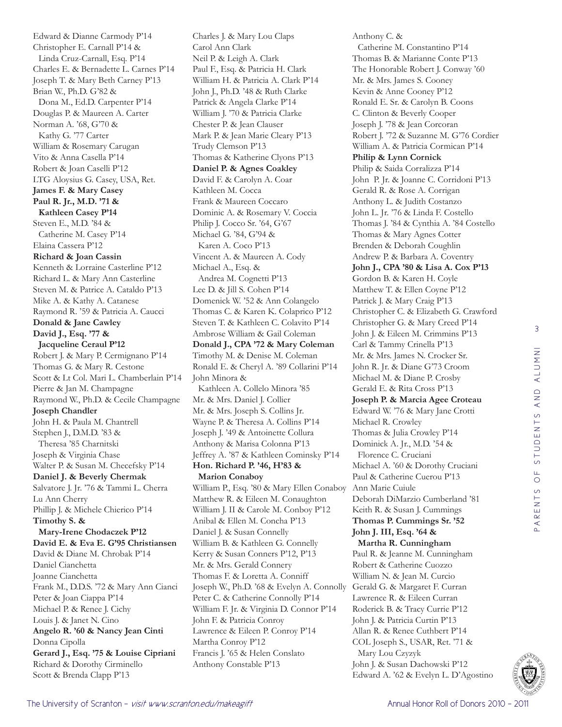Edward & Dianne Carmody P'14 Christopher E. Carnall P'14 & Linda Cruz-Carnall, Esq. P'14 Charles E. & Bernadette L. Carnes P'14 Joseph T. & Mary Beth Carney P'13 Brian W., Ph.D. G'82 & Dona M., Ed.D. Carpenter P'14 Douglas P. & Maureen A. Carter Norman A. '68, G'70 & Kathy G. '77 Carter William & Rosemary Carugan Vito & Anna Casella P'14 Robert & Joan Caselli P'12 LTG Aloysius G. Casey, USA, Ret. **James F. & Mary Casey Paul R. Jr., M.D. '71 & Kathleen Casey P'14** Steven E., M.D. '84 & Catherine M. Casey P'14 Elaina Cassera P'12 **Richard & Joan Cassin** Kenneth & Lorraine Casterline P'12 Richard L. & Mary Ann Casterline Steven M. & Patrice A. Cataldo P'13 Mike A. & Kathy A. Catanese Raymond R. '59 & Patricia A. Caucci **Donald & Jane Cawley David J., Esq. '77 & Jacqueline Ceraul P'12** Robert J. & Mary P. Cermignano P'14 Thomas G. & Mary R. Cestone Scott & Lt Col. Mari L. Chamberlain P'14 Pierre & Jan M. Champagne Raymond W., Ph.D. & Cecile Champagne **Joseph Chandler**  John H. & Paula M. Chantrell Stephen J., D.M.D. '83 & Theresa '85 Charnitski Joseph & Virginia Chase Walter P. & Susan M. Checefsky P'14 **Daniel J. & Beverly Chermak** Salvatore J. Jr. '76 & Tammi L. Cherra Lu Ann Cherry Phillip J. & Michele Chierico P'14 **Timothy S. & Mary-Irene Chodaczek P'12 David E. & Eva E. G'95 Christiansen** David & Diane M. Chrobak P'14 Daniel Cianchetta Joanne Cianchetta Frank M., D.D.S. '72 & Mary Ann Cianci Peter & Joan Ciappa P'14 Michael P. & Renee J. Cichy Louis J. & Janet N. Cino **Angelo R. '60 & Nancy Jean Cinti** Donna Cipolla **Gerard J., Esq. '75 & Louise Cipriani** Richard & Dorothy Cirminello Scott & Brenda Clapp P'13

Charles J. & Mary Lou Claps Carol Ann Clark Neil P. & Leigh A. Clark Paul F., Esq. & Patricia H. Clark William H. & Patricia A. Clark P'14 John J., Ph.D. '48 & Ruth Clarke Patrick & Angela Clarke P'14 William J. '70 & Patricia Clarke Chester P. & Jean Clauser Mark P. & Jean Marie Cleary P'13 Trudy Clemson P'13 Thomas & Katherine Clyons P'13 **Daniel P. & Agnes Coakley** David F. & Carolyn A. Coar Kathleen M. Cocca Frank & Maureen Coccaro Dominic A. & Rosemary V. Coccia Philip J. Cocco Sr. '64, G'67 Michael G. '84, G'94 & Karen A. Coco P'13 Vincent A. & Maureen A. Cody Michael A., Esq. & Andrea M. Cognetti P'13 Lee D. & Jill S. Cohen P'14 Domenick W. '52 & Ann Colangelo Thomas C. & Karen K. Colaprico P'12 Steven T. & Kathleen C. Colavito P'14 Ambrose William & Gail Coleman **Donald J., CPA '72 & Mary Coleman** Timothy M. & Denise M. Coleman Ronald E. & Cheryl A. '89 Collarini P'14 John Minora & Kathleen A. Collelo Minora '85 Mr. & Mrs. Daniel J. Collier Mr. & Mrs. Joseph S. Collins Jr. Wayne P. & Theresa A. Collins P'14 Joseph J. '49 & Antoinette Collura Anthony & Marisa Colonna P'13 Jeffrey A. '87 & Kathleen Cominsky P'14 **Hon. Richard P. '46, H'83 & Marion Conaboy** William P., Esq. '80 & Mary Ellen Conaboy Matthew R. & Eileen M. Conaughton William J. II & Carole M. Conboy P'12 Anibal & Ellen M. Concha P'13 Daniel J. & Susan Connelly William B. & Kathleen G. Connelly Kerry & Susan Conners P'12, P'13 Mr. & Mrs. Gerald Connery Thomas F. & Loretta A. Conniff Joseph W., Ph.D. '68 & Evelyn A. Connolly Peter C. & Catherine Connolly P'14 William F. Jr. & Virginia D. Connor P'14 John F. & Patricia Conroy Lawrence & Eileen P. Conroy P'14 Martha Conroy P'12 Francis J. '65 & Helen Conslato Anthony Constable P'13

Anthony C. & Catherine M. Constantino P'14 Thomas B. & Marianne Conte P'13 The Honorable Robert J. Conway '60 Mr. & Mrs. James S. Cooney Kevin & Anne Cooney P'12 Ronald E. Sr. & Carolyn B. Coons C. Clinton & Beverly Cooper Joseph J. '78 & Jean Corcoran Robert J. '72 & Suzanne M. G'76 Cordier William A. & Patricia Cormican P'14 **Philip & Lynn Cornick** Philip & Saida Corralizza P'14 John P. Jr. & Joanne C. Corridoni P'13 Gerald R. & Rose A. Corrigan Anthony L. & Judith Costanzo John L. Jr. '76 & Linda F. Costello Thomas J. '84 & Cynthia A. '84 Costello Thomas & Mary Agnes Cotter Brenden & Deborah Coughlin Andrew P. & Barbara A. Coventry **John J., CPA '80 & Lisa A. Cox P'13** Gordon B. & Karen H. Coyle Matthew T. & Ellen Coyne P'12 Patrick J. & Mary Craig P'13 Christopher C. & Elizabeth G. Crawford Christopher G. & Mary Creed P'14 John J. & Eileen M. Crimmins P'13 Carl & Tammy Crinella P'13 Mr. & Mrs. James N. Crocker Sr. John R. Jr. & Diane G'73 Croom Michael M. & Diane P. Crosby Gerald E. & Rita Cross P'13 **Joseph P. & Marcia Agee Croteau** Edward W. '76 & Mary Jane Crotti Michael R. Crowley Thomas & Julia Crowley P'14 Dominick A. Jr., M.D. '54 & Florence C. Cruciani Michael A. '60 & Dorothy Cruciani Paul & Catherine Cuerou P'13 Ann Marie Cuiule Deborah DiMarzio Cumberland '81 Keith R. & Susan J. Cummings **Thomas P. Cummings Sr. '52 John J. III, Esq. '64 & Martha R. Cunningham** Paul R. & Jeanne M. Cunningham Robert & Catherine Cuozzo William N. & Jean M. Curcio Gerald G. & Margaret F. Curran Lawrence R. & Eileen Curran Roderick B. & Tracy Currie P'12 John J. & Patricia Curtin P'13 Allan R. & Renee Cuthbert P'14 COL Joseph S., USAR, Ret. '71 & Mary Lou Czyzyk John J. & Susan Dachowski P'12 Edward A. '62 & Evelyn L. D'Agostino

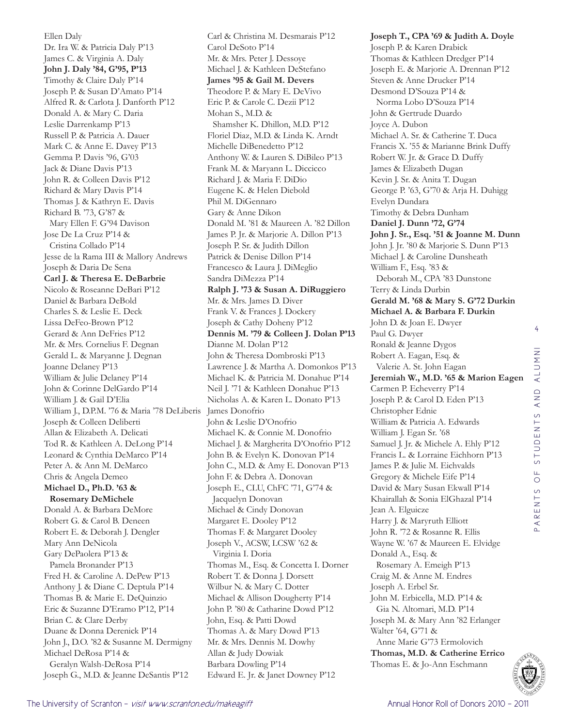Ellen Daly Dr. Ira W. & Patricia Daly P'13 James C. & Virginia A. Daly **John J. Daly '84, G'95, P'13** Timothy & Claire Daly P'14 Joseph P. & Susan D'Amato P'14 Alfred R. & Carlota J. Danforth P'12 Donald A. & Mary C. Daria Leslie Darrenkamp P'13 Russell P. & Patricia A. Dauer Mark C. & Anne E. Davey P'13 Gemma P. Davis '96, G'03 Jack & Diane Davis P'13 John R. & Colleen Davis P'12 Richard & Mary Davis P'14 Thomas J. & Kathryn E. Davis Richard B. '73, G'87 & Mary Ellen F. G'94 Davison Jose De La Cruz P'14 & Cristina Collado P'14 Jesse de la Rama III & Mallory Andrews Joseph & Daria De Sena **Carl J. & Theresa E. DeBarbrie** Nicolo & Roseanne DeBari P'12 Daniel & Barbara DeBold Charles S. & Leslie E. Deck Lissa DeFeo-Brown P'12 Gerard & Ann DeFries P'12 Mr. & Mrs. Cornelius F. Degnan Gerald L. & Maryanne J. Degnan Joanne Delaney P'13 William & Julie Delaney P'14 John & Corinne DelGardo P'14 William J. & Gail D'Elia William J., D.P.M. '76 & Maria '78 DeLiberis Joseph & Colleen Deliberti Allan & Elizabeth A. Delicati Tod R. & Kathleen A. DeLong P'14 Leonard & Cynthia DeMarco P'14 Peter A. & Ann M. DeMarco Chris & Angela Demeo **Michael D., Ph.D. '63 & Rosemary DeMichele** Donald A. & Barbara DeMore Robert G. & Carol B. Deneen Robert E. & Deborah J. Dengler Mary Ann DeNicola Gary DePaolera P'13 & Pamela Bronander P'13 Fred H. & Caroline A. DePew P'13 Anthony J. & Diane C. Deptula P'14 Thomas B. & Marie E. DeQuinzio Eric & Suzanne D'Eramo P'12, P'14 Brian C. & Clare Derby Duane & Donna Derenick P'14 John J., D.O. '82 & Susanne M. Dermigny Michael DeRosa P'14 & Geralyn Walsh-DeRosa P'14 Joseph G., M.D. & Jeanne DeSantis P'12

Carl & Christina M. Desmarais P'12 Carol DeSoto P'14 Mr. & Mrs. Peter J. Dessoye Michael J. & Kathleen DeStefano **James '95 & Gail M. Devers** Theodore P. & Mary E. DeVivo Eric P. & Carole C. Dezii P'12 Mohan S., M.D. & Shamsher K. Dhillon, M.D. P'12 Floriel Diaz, M.D. & Linda K. Arndt Michelle DiBenedetto P'12 Anthony W. & Lauren S. DiBileo P'13 Frank M. & Maryann L. Diccicco Richard J. & Maria F. DiDio Eugene K. & Helen Diebold Phil M. DiGennaro Gary & Anne Dikon Donald M. '81 & Maureen A. '82 Dillon James P. Jr. & Marjorie A. Dillon P'13 Joseph P. Sr. & Judith Dillon Patrick & Denise Dillon P'14 Francesco & Laura J. DiMeglio Sandra DiMezza P'14 **Ralph J. '73 & Susan A. DiRuggiero** Mr. & Mrs. James D. Diver Frank V. & Frances J. Dockery Joseph & Cathy Doheny P'12 **Dennis M. '79 & Colleen J. Dolan P'13** Dianne M. Dolan P'12 John & Theresa Dombroski P'13 Lawrence J. & Martha A. Domonkos P'13 Michael K. & Patricia M. Donahue P'14 Neil J. '71 & Kathleen Donahue P'13 Nicholas A. & Karen L. Donato P'13 James Donofrio John & Leslie D'Onofrio Michael K. & Connie M. Donofrio Michael J. & Margherita D'Onofrio P'12 John B. & Evelyn K. Donovan P'14 John C., M.D. & Amy E. Donovan P'13 John F. & Debra A. Donovan Joseph E., CLU, ChFC '71, G'74 & Jacquelyn Donovan Michael & Cindy Donovan Margaret E. Dooley P'12 Thomas F. & Margaret Dooley Joseph V., ACSW, LCSW '62 & Virginia I. Doria Thomas M., Esq. & Concetta I. Dorner Robert T. & Donna J. Dorsett Wilbur N. & Mary C. Dotter Michael & Allison Dougherty P'14 John P. '80 & Catharine Dowd P'12 John, Esq. & Patti Dowd Thomas A. & Mary Dowd P'13 Mr. & Mrs. Dennis M. Dowhy Allan & Judy Dowiak Barbara Dowling P'14 Edward E. Jr. & Janet Downey P'12

**Joseph T., CPA '69 & Judith A. Doyle** Joseph P. & Karen Drabick Thomas & Kathleen Dredger P'14 Joseph E. & Marjorie A. Drennan P'12 Steven & Anne Drucker P'14 Desmond D'Souza P'14 & Norma Lobo D'Souza P'14 John & Gertrude Duardo Joyce A. Dubon Michael A. Sr. & Catherine T. Duca Francis X. '55 & Marianne Brink Duffy Robert W. Jr. & Grace D. Duffy James & Elizabeth Dugan Kevin J. Sr. & Anita T. Dugan George P. '63, G'70 & Arja H. Duhigg Evelyn Dundara Timothy & Debra Dunham **Daniel J. Dunn '72, G'74 John J. Sr., Esq. '51 & Joanne M. Dunn** John J. Jr. '80 & Marjorie S. Dunn P'13 Michael J. & Caroline Dunsheath William F., Esq. '83 & Deborah M., CPA '83 Dunstone Terry & Linda Durbin **Gerald M. '68 & Mary S. G'72 Durkin Michael A. & Barbara F. Durkin** John D. & Joan E. Dwyer Paul G. Dwyer Ronald & Jeanne Dygos Robert A. Eagan, Esq. & Valerie A. St. John Eagan **Jeremiah W., M.D. '65 & Marion Eagen** Carmen P. Echeverry P'14 Joseph P. & Carol D. Eden P'13 Christopher Ednie William & Patricia A. Edwards William J. Egan Sr. '68 Samuel J. Jr. & Michele A. Ehly P'12 Francis L. & Lorraine Eichhorn P'13 James P. & Julie M. Eichvalds Gregory & Michele Eife P'14 David & Mary Susan Ekwall P'14 Khairallah & Sonia ElGhazal P'14 Jean A. Elguicze Harry J. & Maryruth Elliott John R. '72 & Rosanne R. Ellis Wayne W. '67 & Maureen E. Elvidge Donald A., Esq. & Rosemary A. Emeigh P'13 Craig M. & Anne M. Endres Joseph A. Erbel Sr. John M. Erbicella, M.D. P'14 & Gia N. Altomari, M.D. P'14 Joseph M. & Mary Ann '82 Erlanger Walter '64, G'71 & Anne Marie G'73 Ermolovich **Thomas, M.D. & Catherine Errico** Thomas E. & Jo-Ann Eschmann

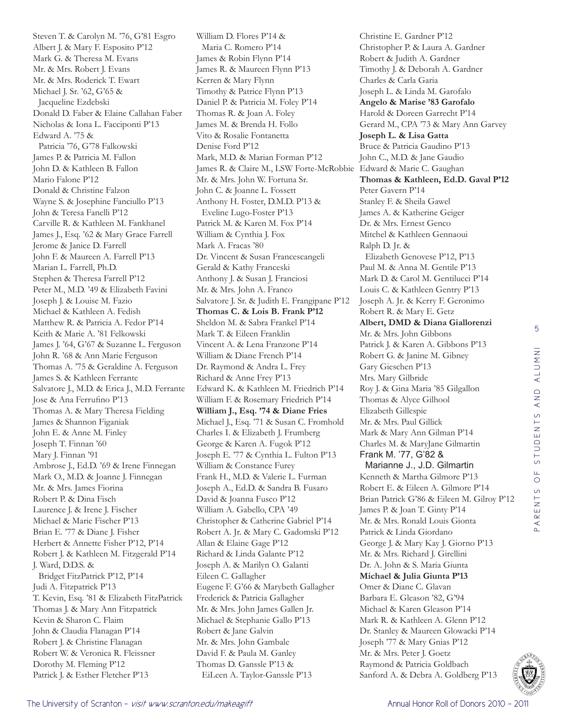Steven T. & Carolyn M. '76, G'81 Esgro Albert J. & Mary F. Esposito P'12 Mark G. & Theresa M. Evans Mr. & Mrs. Robert J. Evans Mr. & Mrs. Roderick T. Ewart Michael J. Sr. '62, G'65 & Jacqueline Ezdebski Donald D. Faber & Elaine Callahan Faber Nicholas & Iona L. Facciponti P'13 Edward A. '75 & Patricia '76, G'78 Falkowski James P. & Patricia M. Fallon John D. & Kathleen B. Fallon Mario Falone P'12 Donald & Christine Falzon Wayne S. & Josephine Fanciullo P'13 John & Teresa Fanelli P'12 Carville R. & Kathleen M. Fankhanel James J., Esq. '62 & Mary Grace Farrell Jerome & Janice D. Farrell John F. & Maureen A. Farrell P'13 Marian L. Farrell, Ph.D. Stephen & Theresa Farrell P'12 Peter M., M.D. '49 & Elizabeth Favini Joseph J. & Louise M. Fazio Michael & Kathleen A. Fedish Matthew R. & Patricia A. Fedor P'14 Keith & Marie A. '81 Felkowski James J. '64, G'67 & Suzanne L. Ferguson John R. '68 & Ann Marie Ferguson Thomas A. '75 & Geraldine A. Ferguson James S. & Kathleen Ferrante Salvatore J., M.D. & Erica J., M.D. Ferrante Jose & Ana Ferrufino P'13 Thomas A. & Mary Theresa Fielding James & Shannon Figaniak John E. & Anne M. Finley Joseph T. Finnan '60 Mary J. Finnan '91 Ambrose J., Ed.D. '69 & Irene Finnegan Mark O., M.D. & Joanne J. Finnegan Mr. & Mrs. James Fiorina Robert P. & Dina Fisch Laurence J. & Irene J. Fischer Michael & Marie Fischer P'13 Brian E. '77 & Diane J. Fisher Herbert & Annette Fisher P'12, P'14 Robert J. & Kathleen M. Fitzgerald P'14 J. Ward, D.D.S. & Bridget FitzPatrick P'12, P'14 Judi A. Fitzpatrick P'13 T. Kevin, Esq. '81 & Elizabeth FitzPatrick Thomas J. & Mary Ann Fitzpatrick Kevin & Sharon C. Flaim John & Claudia Flanagan P'14 Robert J. & Christine Flanagan Robert W. & Veronica R. Fleissner Dorothy M. Fleming P'12 Patrick J. & Esther Fletcher P'13

William D. Flores P'14 & Maria C. Romero P'14 James & Robin Flynn P'14 James R. & Maureen Flynn P'13 Kerren & Mary Flynn Timothy & Patrice Flynn P'13 Daniel P. & Patricia M. Foley P'14 Thomas R. & Joan A. Foley James M. & Brenda H. Follo Vito & Rosalie Fontanetta Denise Ford P'12 Mark, M.D. & Marian Forman P'12 James R. & Claire M., LSW Forte-McRobbie Edward & Marie C. Gaughan Mr. & Mrs. John W. Fortuna Sr. John C. & Joanne L. Fossett Anthony H. Foster, D.M.D. P'13 & Eveline Lugo-Foster P'13 Patrick M. & Karen M. Fox P'14 William & Cynthia J. Fox Mark A. Fracas '80 Dr. Vincent & Susan Francescangeli Gerald & Kathy Franceski Anthony J. & Susan J. Franciosi Mr. & Mrs. John A. Franco Salvatore J. Sr. & Judith E. Frangipane P'12 **Thomas C. & Lois B. Frank P'12** Sheldon M. & Sabra Frankel P'14 Mark T. & Eileen Franklin Vincent A. & Lena Franzone P'14 William & Diane French P'14 Dr. Raymond & Andra L. Frey Richard & Anne Frey P'13 Edward K. & Kathleen M. Friedrich P'14 William F. & Rosemary Friedrich P'14 **William J., Esq. '74 & Diane Fries** Michael J., Esq. '71 & Susan C. Fromhold Charles I. & Elizabeth J. Frumberg George & Karen A. Fugok P'12 Joseph E. '77 & Cynthia L. Fulton P'13 William & Constance Furey Frank H., M.D. & Valerie L. Furman Joseph A., Ed.D. & Sandra B. Fusaro David & Joanna Fusco P'12 William A. Gabello, CPA '49 Christopher & Catherine Gabriel P'14 Robert A. Jr. & Mary C. Gadomski P'12 Allan & Elaine Gage P'12 Richard & Linda Galante P'12 Joseph A. & Marilyn O. Galanti Eileen C. Gallagher Eugene F. G'66 & Marybeth Gallagher Frederick & Patricia Gallagher Mr. & Mrs. John James Gallen Jr. Michael & Stephanie Gallo P'13 Robert & Jane Galvin Mr. & Mrs. John Gambale David F. & Paula M. Ganley Thomas D. Ganssle P'13 & EiLeen A. Taylor-Ganssle P'13

Christine E. Gardner P'12 Christopher P. & Laura A. Gardner Robert & Judith A. Gardner Timothy J. & Deborah A. Gardner Charles & Carla Garia Joseph L. & Linda M. Garofalo **Angelo & Marise '83 Garofalo** Harold & Doreen Garrecht P'14 Gerard M., CPA '73 & Mary Ann Garvey **Joseph L. & Lisa Gatta** Bruce & Patricia Gaudino P'13 John C., M.D. & Jane Gaudio **Thomas & Kathleen, Ed.D. Gaval P'12** Peter Gavern P'14 Stanley F. & Sheila Gawel James A. & Katherine Geiger Dr. & Mrs. Ernest Genco Mitchel & Kathleen Gennaoui Ralph D. Jr. & Elizabeth Genovese P'12, P'13 Paul M. & Anna M. Gentile P'13 Mark D. & Carol M. Gentilucci P'14 Louis C. & Kathleen Gentry P'13 Joseph A. Jr. & Kerry F. Geronimo Robert R. & Mary E. Getz **Albert, DMD & Diana Giallorenzi** Mr. & Mrs. John Gibbons Patrick J. & Karen A. Gibbons P'13 Robert G. & Janine M. Gibney Gary Gieschen P'13 Mrs. Mary Gilbride Roy J. & Gina Maria '85 Gilgallon Thomas & Alyce Gilhool Elizabeth Gillespie Mr. & Mrs. Paul Gillick Mark & Mary Ann Gilman P'14 Charles M. & MaryJane Gilmartin Frank M. '77, G'82 & Marianne J., J.D. Gilmartin Kenneth & Martha Gilmore P'13 Robert E. & Eileen A. Gilmore P'14 Brian Patrick G'86 & Eileen M. Gilroy P'12 James P. & Joan T. Ginty P'14 Mr. & Mrs. Ronald Louis Gionta Patrick & Linda Giordano George J. & Mary Kay J. Giorno P'13 Mr. & Mrs. Richard J. Girellini Dr. A. John & S. Maria Giunta **Michael & Julia Giunta P'13** Omer & Diane C. Glavan Barbara E. Gleason '82, G'94 Michael & Karen Gleason P'14 Mark R. & Kathleen A. Glenn P'12 Dr. Stanley & Maureen Glowacki P'14 Joseph '77 & Mary Gnias P'12 Mr. & Mrs. Peter J. Goetz Raymond & Patricia Goldbach Sanford A. & Debra A. Goldberg P'13

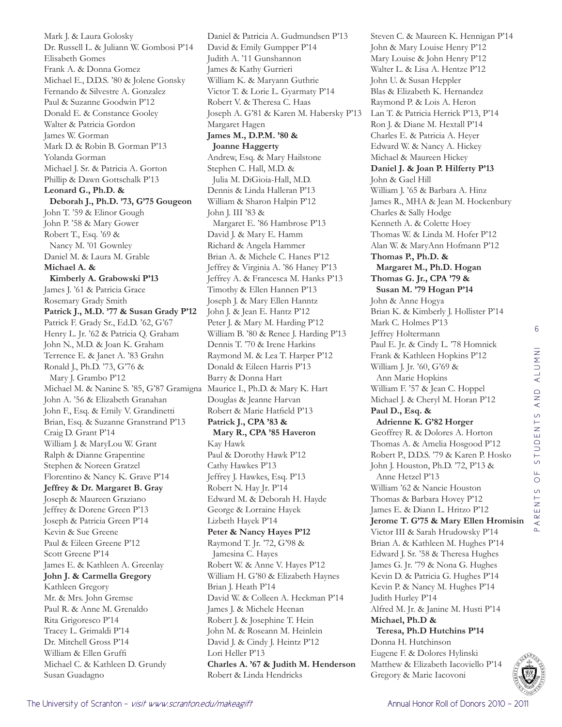The University of Scranton - *visit www.scranton.edu/makeagift* Annual Honor Roll of Donors 2010 - 2011 - 2011 Jeffrey & Dorene Green P'13 Joseph & Patricia Green P'14 Kevin & Sue Greene Paul & Eileen Greene P'12 Scott Greene P'14 James E. & Kathleen A. Greenlay **John J. & Carmella Gregory** Kathleen Gregory Mr. & Mrs. John Gremse Paul R. & Anne M. Grenaldo Rita Grigoresco P'14 Tracey L. Grimaldi P'14 Dr. Mitchell Gross P'14 William & Ellen Gruffi Michael C. & Kathleen D. Grundy Susan Guadagno

Mark J. & Laura Golosky

Frank A. & Donna Gomez

Elisabeth Gomes

Yolanda Gorman

**Michael A. &** 

**Leonard G., Ph.D. &** 

John T. '59 & Elinor Gough John P. '58 & Mary Gower Robert T., Esq. '69 & Nancy M. '01 Gownley Daniel M. & Laura M. Grable

**Kimberly A. Grabowski P'13** James J. '61 & Patricia Grace Rosemary Grady Smith

John A. '56 & Elizabeth Granahan John F., Esq. & Emily V. Grandinetti Brian, Esq. & Suzanne Granstrand P'13

William J. & MaryLou W. Grant Ralph & Dianne Grapentine Stephen & Noreen Gratzel

Florentino & Nancy K. Grave P'14 **Jeffrey & Dr. Margaret B. Gray** Joseph & Maureen Graziano

Craig D. Grant P'14

Dr. Russell L. & Juliann W. Gombosi P'14

Michael E., D.D.S. '80 & Jolene Gonsky Fernando & Silvestre A. Gonzalez Paul & Suzanne Goodwin P'12 Donald E. & Constance Gooley Walter & Patricia Gordon James W. Gorman

Mark D. & Robin B. Gorman P'13

Michael J. Sr. & Patricia A. Gorton Phillip & Dawn Gottschalk P'13

**Deborah J., Ph.D. '73, G'75 Gougeon**

**Patrick J., M.D. '77 & Susan Grady P'12** Patrick F. Grady Sr., Ed.D. '62, G'67 Henry L. Jr. '62 & Patricia Q. Graham John N., M.D. & Joan K. Graham Terrence E. & Janet A. '83 Grahn Ronald J., Ph.D. '73, G'76 & Mary J. Grambo P'12

Michael M. & Nanine S. '85, G'87 Gramigna Daniel & Patricia A. Gudmundsen P'13 David & Emily Gumpper P'14 Judith A. '11 Gunshannon James & Kathy Gurrieri William K. & Maryann Guthrie Victor T. & Lorie L. Gyarmaty P'14 Robert V. & Theresa C. Haas Joseph A. G'81 & Karen M. Habersky P'13 Margaret Hagen **James M., D.P.M. '80 & Joanne Haggerty** Andrew, Esq. & Mary Hailstone Stephen C. Hall, M.D. & Julia M. DiGioia-Hall, M.D. Dennis & Linda Halleran P'13 William & Sharon Halpin P'12 John J. III '83 & Margaret E. '86 Hambrose P'13 David J. & Mary E. Hamm Richard & Angela Hammer Brian A. & Michele C. Hanes P'12 Jeffrey & Virginia A. '86 Haney P'13 Jeffrey A. & Francesca M. Hanks P'13 Timothy & Ellen Hannen P'13 Joseph J. & Mary Ellen Hanntz John J. & Jean E. Hantz P'12 Peter J. & Mary M. Harding P'12 William B. '80 & Renee J. Harding P'13 Dennis T. '70 & Irene Harkins Raymond M. & Lea T. Harper P'12 Donald & Eileen Harris P'13 Barry & Donna Hart Maurice I., Ph.D. & Mary K. Hart Douglas & Jeanne Harvan Robert & Marie Hatfield P'13 **Patrick J., CPA '83 & Mary R., CPA '85 Haveron** Kay Hawk Paul & Dorothy Hawk P'12 Cathy Hawkes P'13 Jeffrey J. Hawkes, Esq. P'13 Robert N. Hay Jr. P'14 Edward M. & Deborah H. Hayde George & Lorraine Hayek Lizbeth Hayek P'14 **Peter & Nancy Hayes P'12** Raymond T. Jr. '72, G'98 & Jamesina C. Hayes Robert W. & Anne V. Hayes P'12 William H. G'80 & Elizabeth Haynes Brian J. Heath P'14 David W. & Colleen A. Heckman P'14 James J. & Michele Heenan Robert J. & Josephine T. Hein John M. & Roseann M. Heinlein David J. & Cindy J. Heintz P'12 Lori Heller P'13 **Charles A. '67 & Judith M. Henderson** Robert & Linda Hendricks

Steven C. & Maureen K. Hennigan P'14 John & Mary Louise Henry P'12 Mary Louise & John Henry P'12 Walter L. & Lisa A. Hentze P'12 John U. & Susan Heppler Blas & Elizabeth K. Hernandez Raymond P. & Lois A. Heron Lan T. & Patricia Herrick P'13, P'14 Ron J. & Diane M. Hextall P'14 Charles E. & Patricia A. Heyer Edward W. & Nancy A. Hickey Michael & Maureen Hickey **Daniel J. & Joan P. Hilferty P'13** John & Gael Hill William J. '65 & Barbara A. Hinz James R., MHA & Jean M. Hockenbury Charles & Sally Hodge Kenneth A. & Colette Hoey Thomas W. & Linda M. Hofer P'12 Alan W. & MaryAnn Hofmann P'12 **Thomas P., Ph.D. & Margaret M., Ph.D. Hogan Thomas G. Jr., CPA '79 & Susan M. '79 Hogan P'14** John & Anne Hogya Brian K. & Kimberly J. Hollister P'14 Mark C. Holmes P'13 Jeffrey Holtermann Paul E. Jr. & Cindy L. '78 Homnick Frank & Kathleen Hopkins P'12 William J. Jr. '60, G'69 & Ann Marie Hopkins William F. '57 & Jean C. Hoppel Michael J. & Cheryl M. Horan P'12 **Paul D., Esq. & Adrienne K. G'82 Horger** Geoffrey R. & Dolores A. Horton Thomas A. & Amelia Hosgood P'12 Robert P., D.D.S. '79 & Karen P. Hosko John J. Houston, Ph.D. '72, P'13 & Anne Hetzel P'13 William '62 & Nancie Houston Thomas & Barbara Hovey P'12 James E. & Diann L. Hritzo P'12 **Jerome T. G'75 & Mary Ellen Hromisin** Victor III & Sarah Hrudowsky P'14 Brian A. & Kathleen M. Hughes P'14 Edward J. Sr. '58 & Theresa Hughes James G. Jr. '79 & Nona G. Hughes Kevin D. & Patricia G. Hughes P'14 Kevin P. & Nancy M. Hughes P'14 Judith Hurley P'14 Alfred M. Jr. & Janine M. Husti P'14 **Michael, Ph.D & Teresa, Ph.D Hutchins P'14** Donna H. Hutchinson Eugene F. & Dolores Hylinski Matthew & Elizabeth Iacoviello P'14 Gregory & Marie Iacovoni



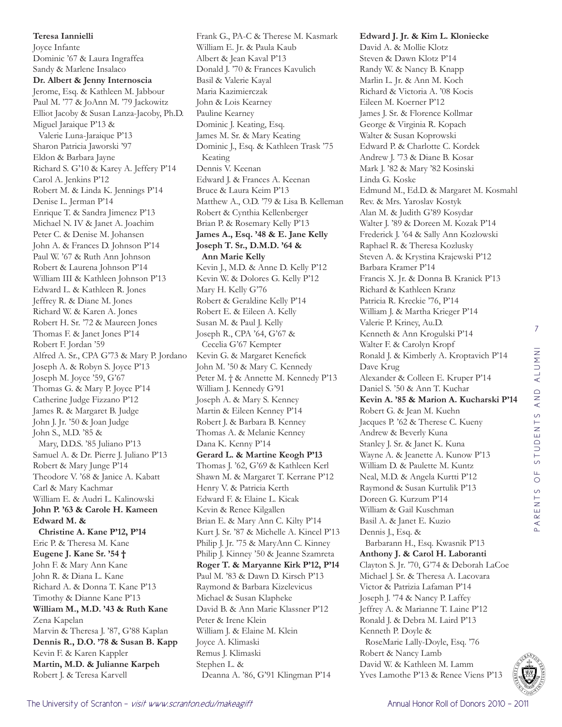**Teresa Iannielli**  Joyce Infante Dominic '67 & Laura Ingraffea Sandy & Marlene Insalaco **Dr. Albert & Jenny Internoscia** Jerome, Esq. & Kathleen M. Jabbour Paul M. '77 & JoAnn M. '79 Jackowitz Elliot Jacoby & Susan Lanza-Jacoby, Ph.D. Miguel Jaraique P'13 & Valerie Luna-Jaraique P'13 Sharon Patricia Jaworski '97 Eldon & Barbara Jayne Richard S. G'10 & Karey A. Jeffery P'14 Carol A. Jenkins P'12 Robert M. & Linda K. Jennings P'14 Denise L. Jerman P'14 Enrique T. & Sandra Jimenez P'13 Michael N. IV & Janet A. Joachim Peter C. & Denise M. Johansen John A. & Frances D. Johnson P'14 Paul W. '67 & Ruth Ann Johnson Robert & Laurena Johnson P'14 William III & Kathleen Johnson P'13 Edward L. & Kathleen R. Jones Jeffrey R. & Diane M. Jones Richard W. & Karen A. Jones Robert H. Sr. '72 & Maureen Jones Thomas F. & Janet Jones P'14 Robert F. Jordan '59 Alfred A. Sr., CPA G'73 & Mary P. Jordano Joseph A. & Robyn S. Joyce P'13 Joseph M. Joyce '59, G'67 Thomas G. & Mary P. Joyce P'14 Catherine Judge Fizzano P'12 James R. & Margaret B. Judge John J. Jr. '50 & Joan Judge John S., M.D. '85 & Mary, D.D.S. '85 Juliano P'13 Samuel A. & Dr. Pierre J. Juliano P'13 Robert & Mary Junge P'14 Theodore V. '68 & Janice A. Kabatt Carl & Mary Kachmar William E. & Audri L. Kalinowski **John P. '63 & Carole H. Kameen Edward M. & Christine A. Kane P'12, P'14** Eric P. & Theresa M. Kane **Eugene J. Kane Sr. '54 †** John F. & Mary Ann Kane John R. & Diana L. Kane Richard A. & Donna T. Kane P'13 Timothy & Dianne Kane P'13 **William M., M.D. '43 & Ruth Kane** Zena Kapelan Marvin & Theresa J. '87, G'88 Kaplan **Dennis R., D.O. '78 & Susan B. Kapp** Kevin F. & Karen Kappler **Martin, M.D. & Julianne Karpeh** Robert J. & Teresa Karvell

Frank G., PA-C & Therese M. Kasmark William E. Jr. & Paula Kaub Albert & Jean Kaval P'13 Donald J. '70 & Frances Kavulich Basil & Valerie Kayal Maria Kazimierczak John & Lois Kearney Pauline Kearney Dominic J. Keating, Esq. James M. Sr. & Mary Keating Dominic J., Esq. & Kathleen Trask '75 Keating Dennis V. Keenan Edward J. & Frances A. Keenan Bruce & Laura Keim P'13 Matthew A., O.D. '79 & Lisa B. Kelleman Robert & Cynthia Kellenberger Brian P. & Rosemary Kelly P'13 **James A., Esq. '48 & E. Jane Kelly Joseph T. Sr., D.M.D. '64 & Ann Marie Kelly** Kevin J., M.D. & Anne D. Kelly P'12 Kevin W. & Dolores G. Kelly P'12 Mary H. Kelly G'76 Robert & Geraldine Kelly P'14 Robert E. & Eileen A. Kelly Susan M. & Paul J. Kelly Joseph R., CPA '64, G'67 & Cecelia G'67 Kempter Kevin G. & Margaret Kenefick John M. '50 & Mary C. Kennedy Peter M. † & Annette M. Kennedy P'13 William J. Kennedy G'91 Joseph A. & Mary S. Kenney Martin & Eileen Kenney P'14 Robert J. & Barbara B. Kenney Thomas A. & Melanie Kenney Dana K. Kenny P'14 **Gerard L. & Martine Keogh P'13** Thomas J. '62, G'69 & Kathleen Kerl Shawn M. & Margaret T. Kerrane P'12 Henry V. & Patricia Kerth Edward F. & Elaine L. Kicak Kevin & Renee Kilgallen Brian E. & Mary Ann C. Kilty P'14 Kurt J. Sr. '87 & Michelle A. Kincel P'13 Philip J. Jr. '75 & MaryAnn C. Kinney Philip J. Kinney '50 & Jeanne Szamreta **Roger T. & Maryanne Kirk P'12, P'14** Paul M. '83 & Dawn D. Kirsch P'13 Raymond & Barbara Kizelevicus Michael & Susan Klapheke David B. & Ann Marie Klassner P'12 Peter & Irene Klein William J. & Elaine M. Klein Joyce A. Klimaski Remus J. Klimaski Stephen L. & Deanna A. '86, G'91 Klingman P'14

**Edward J. Jr. & Kim L. Kloniecke** David A. & Mollie Klotz Steven & Dawn Klotz P'14 Randy W. & Nancy B. Knapp Marlin L. Jr. & Ann M. Koch Richard & Victoria A. '08 Kocis Eileen M. Koerner P'12 James J. Sr. & Florence Kollmar George & Virginia R. Kopach Walter & Susan Koprowski Edward P. & Charlotte C. Kordek Andrew J. '73 & Diane B. Kosar Mark J. '82 & Mary '82 Kosinski Linda G. Koske Edmund M., Ed.D. & Margaret M. Kosmahl Rev. & Mrs. Yaroslav Kostyk Alan M. & Judith G'89 Kosydar Walter J. '89 & Doreen M. Kozak P'14 Frederick J. '64 & Sally Ann Kozlowski Raphael R. & Theresa Kozlusky Steven A. & Krystina Krajewski P'12 Barbara Kramer P'14 Francis X. Jr. & Donna B. Kranick P'13 Richard & Kathleen Kranz Patricia R. Kreckie '76, P'14 William J. & Martha Krieger P'14 Valerie P. Kriney, Au.D. Kenneth & Ann Krogulski P'14 Walter F. & Carolyn Kropf Ronald J. & Kimberly A. Kroptavich P'14 Dave Krug Alexander & Colleen E. Kruper P'14 Daniel S. '50 & Ann T. Kuchar **Kevin A. '85 & Marion A. Kucharski P'14** Robert G. & Jean M. Kuehn Jacques P. '62 & Therese C. Kueny Andrew & Beverly Kuna Stanley J. Sr. & Janet K. Kuna Wayne A. & Jeanette A. Kunow P'13 William D. & Paulette M. Kuntz Neal, M.D. & Angela Kurtti P'12 Raymond & Susan Kurtulik P'13 Doreen G. Kurzum P'14 William & Gail Kuschman Basil A. & Janet E. Kuzio Dennis J., Esq. & Barbarann H., Esq. Kwasnik P'13 **Anthony J. & Carol H. Laboranti** Clayton S. Jr. '70, G'74 & Deborah LaCoe Michael J. Sr. & Theresa A. Lacovara Victor & Patrizia Lafaman P'14 Joseph J. '74 & Nancy P. Laffey Jeffrey A. & Marianne T. Laine P'12 Ronald J. & Debra M. Laird P'13 Kenneth P. Doyle & RoseMarie Lally-Doyle, Esq. '76 Robert & Nancy Lamb David W. & Kathleen M. Lamm Yves Lamothe P'13 & Renee Viens P'13

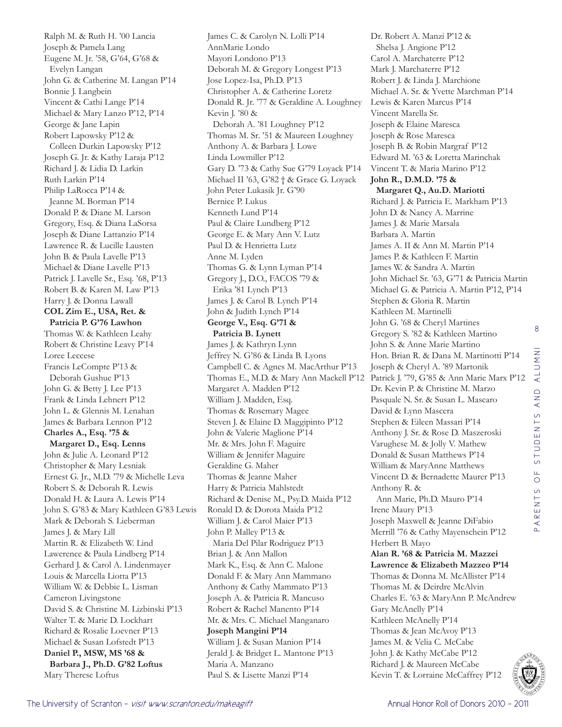Ralph M. & Ruth H. '00 Lancia Joseph & Pamela Lang Eugene M. Jr. '58, G'64, G'68 & Evelyn Langan John G. & Catherine M. Langan P'14 Bonnie J. Langbein Vincent & Cathi Lange P'14 Michael & Mary Lanzo P'12, P'14 George & Jane Lapin Robert Lapowsky P'12 & Colleen Durkin Lapowsky P'12 Joseph G. Jr. & Kathy Laraja P'12 Richard J. & Lidia D. Larkin Ruth Larkin P'14 Philip LaRocca P'14 & Jeanne M. Borman P'14 Donald P. & Diane M. Larson Gregory, Esq. & Diana LaSorsa Joseph & Diane Lattanzio P'14 Lawrence R. & Lucille Lausten John B. & Paula Lavelle P'13 Michael & Diane Lavelle P'13 Patrick J. Lavelle Sr., Esq. '68, P'13 Robert B. & Karen M. Law P'13 Harry J. & Donna Lawall **COL Zim E., USA, Ret. & Patricia P. G'76 Lawhon** Thomas W. & Kathleen Leahy Robert & Christine Leavy P'14 Loree Leccese Francis LeCompte P'13 & Deborah Gushue P'13 John G. & Betty J. Lee P'13 Frank & Linda Lehnert P'12 John L. & Glennis M. Lenahan James & Barbara Lennon P'12 **Charles A., Esq. '75 & Margaret D., Esq. Lenns** John & Julie A. Leonard P'12 Christopher & Mary Lesniak Ernest G. Jr., M.D. '79 & Michelle Leva Robert S. & Deborah R. Lewis Donald H. & Laura A. Lewis P'14 John S. G'83 & Mary Kathleen G'83 Lewis Mark & Deborah S. Lieberman James J. & Mary Lill Martin R. & Elizabeth W. Lind Lawerence & Paula Lindberg P'14 Gerhard J. & Carol A. Lindenmayer Louis & Marcella Liotta P'13 William W. & Debbie L. Lisman Cameron Livingstone David S. & Christine M. Lizbinski P'13 Walter T. & Marie D. Lockhart Richard & Rosalie Loevner P'13 Michael & Susan Lofstedt P'13 **Daniel P., MSW, MS '68 & Barbara J., Ph.D. G'82 Loftus** Mary Therese Loftus

James C. & Carolyn N. Lolli P'14 AnnMarie Londo Mayori Londono P'13 Deborah M. & Gregory Longest P'13 Jose Lopez-Isa, Ph.D. P'13 Christopher A. & Catherine Loretz Donald R. Jr. '77 & Geraldine A. Loughney Kevin J. '80 & Deborah A. '81 Loughney P'12 Thomas M. Sr. '51 & Maureen Loughney Anthony A. & Barbara J. Lowe Linda Lowmiller P'12 Gary D. '73 & Cathy Sue G'79 Loyack P'14 Michael II '63, G'82 † & Grace G. Loyack John Peter Lukasik Jr. G'90 Bernice P. Lukus Kenneth Lund P'14 Paul & Claire Lundberg P'12 George E. & Mary Ann V. Lutz Paul D. & Henrietta Lutz Anne M. Lyden Thomas G. & Lynn Lyman P'14 Gregory J., D.O., FACOS '79 & Erika '81 Lynch P'13 James J. & Carol B. Lynch P'14 John & Judith Lynch P'14 **George V., Esq. G'71 & Patricia B. Lynett** James J. & Kathryn Lynn Jeffrey N. G'86 & Linda B. Lyons Campbell C. & Agnes M. MacArthur P'13 Thomas E., M.D. & Mary Ann Mackell P'12 Margaret A. Madden P'12 William J. Madden, Esq. Thomas & Rosemary Magee Steven J. & Elaine D. Maggipinto P'12 John & Valerie Maglione P'14 Mr. & Mrs. John F. Maguire William & Jennifer Maguire Geraldine G. Maher Thomas & Jeanne Maher Harry & Patricia Mahlstedt Richard & Denise M., Psy.D. Maida P'12 Ronald D. & Dorota Maida P'12 William J. & Carol Maier P'13 John P. Malley P'13 & Maria Del Pilar Rodriguez P'13 Brian J. & Ann Mallon Mark K., Esq. & Ann C. Malone Donald F. & Mary Ann Mammano Anthony & Cathy Mammato P'13 Joseph A. & Patricia R. Mancuso Robert & Rachel Manento P'14 Mr. & Mrs. C. Michael Manganaro **Joseph Mangini P'14** William J. & Susan Manion P'14 Jerald J. & Bridget L. Mantone P'13 Maria A. Manzano Paul S. & Lisette Manzi P'14

Dr. Robert A. Manzi P'12 & Shelsa J. Angione P'12 Carol A. Marchaterre P'12 Mark J. Marchaterre P'12 Robert J. & Linda J. Marchione Michael A. Sr. & Yvette Marchman P'14 Lewis & Karen Marcus P'14 Vincent Marella Sr. Joseph & Elaine Maresca Joseph & Rose Maresca Joseph B. & Robin Margraf P'12 Edward M. '63 & Loretta Marinchak Vincent T. & Maria Marino P'12 **John R., D.M.D. '75 & Margaret Q., Au.D. Mariotti** Richard J. & Patricia E. Markham P'13 John D. & Nancy A. Marrine James J. & Marie Marsala Barbara A. Martin James A. II & Ann M. Martin P'14 James P. & Kathleen F. Martin James W. & Sandra A. Martin John Michael Sr. '63, G'71 & Patricia Martin Michael G. & Patricia A. Martin P'12, P'14 Stephen & Gloria R. Martin Kathleen M. Martinelli John G. '68 & Cheryl Martines Gregory S. '82 & Kathleen Martino John S. & Anne Marie Martino Hon. Brian R. & Dana M. Martinotti P'14 Joseph & Cheryl A. '89 Martonik Patrick J. '79, G'85 & Ann Marie Marx P'12 Dr. Kevin P. & Christine M. Marzo Pasquale N. Sr. & Susan L. Mascaro David & Lynn Mascera Stephen & Eileen Massari P'14 Anthony J. Sr. & Rose D. Maszeroski Varughese M. & Jolly V. Mathew Donald & Susan Matthews P'14 William & MaryAnne Matthews Vincent D. & Bernadette Maurer P'13 Anthony R. & Ann Marie, Ph.D. Mauro P'14 Irene Maury P'13 Joseph Maxwell & Jeanne DiFabio Merrill '76 & Cathy Mayenschein P'12 Herbert B. Mayo **Alan R. '68 & Patricia M. Mazzei Lawrence & Elizabeth Mazzeo P'14** Thomas & Donna M. McAllister P'14 Thomas M. & Deirdre McAlvin Charles E. '63 & MaryAnn P. McAndrew Gary McAnelly P'14 Kathleen McAnelly P'14 Thomas & Jean McAvoy P'13 James M. & Velia C. McCabe John J. & Kathy McCabe P'12 Richard J. & Maureen McCabe Kevin T. & Lorraine McCaffrey P'12

8

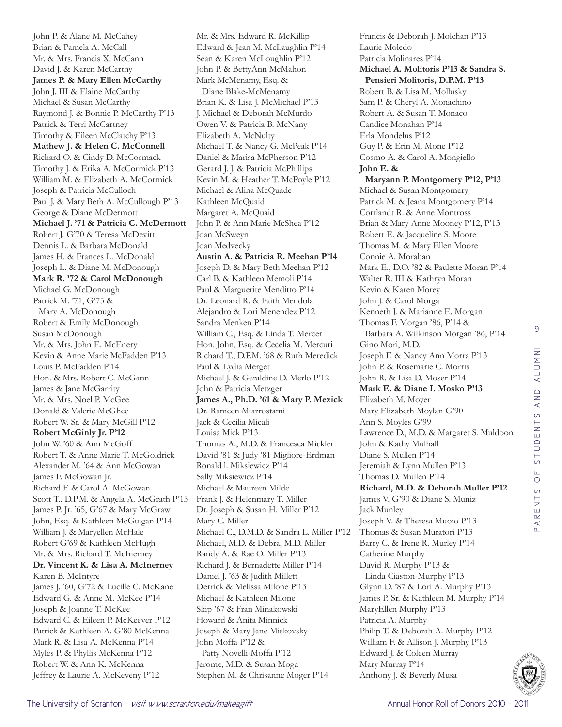John P. & Alane M. McCahey Brian & Pamela A. McCall Mr. & Mrs. Francis X. McCann David J. & Karen McCarthy **James P. & Mary Ellen McCarthy** John J. III & Elaine McCarthy Michael & Susan McCarthy Raymond J. & Bonnie P. McCarthy P'13 Patrick & Terri McCartney Timothy & Eileen McClatchy P'13 **Mathew J. & Helen C. McConnell** Richard O. & Cindy D. McCormack Timothy J. & Erika A. McCormick P'13 William M. & Elizabeth A. McCormick Joseph & Patricia McCulloch Paul J. & Mary Beth A. McCullough P'13 George & Diane McDermott **Michael J. '71 & Patricia C. McDermott** Robert J. G'70 & Teresa McDevitt Dennis L. & Barbara McDonald James H. & Frances L. McDonald Joseph L. & Diane M. McDonough **Mark R. '72 & Carol McDonough** Michael G. McDonough Patrick M. '71, G'75 & Mary A. McDonough Robert & Emily McDonough Susan McDonough Mr. & Mrs. John E. McEnery Kevin & Anne Marie McFadden P'13 Louis P. McFadden P'14 Hon. & Mrs. Robert C. McGann James & Jane McGarrity Mr. & Mrs. Noel P. McGee Donald & Valerie McGhee Robert W. Sr. & Mary McGill P'12 **Robert McGinly Jr. P'12** John W. '60 & Ann McGoff Robert T. & Anne Marie T. McGoldrick Alexander M. '64 & Ann McGowan James F. McGowan Jr. Richard F. & Carol A. McGowan Scott T., D.P.M. & Angela A. McGrath P'13 James P. Jr. '65, G'67 & Mary McGraw John, Esq. & Kathleen McGuigan P'14 William J. & Maryellen McHale Robert G'69 & Kathleen McHugh Mr. & Mrs. Richard T. McInerney **Dr. Vincent K. & Lisa A. McInerney** Karen B. McIntyre James J. '60, G'72 & Lucille C. McKane Edward G. & Anne M. McKee P'14 Joseph & Joanne T. McKee Edward C. & Eileen P. McKeever P'12 Patrick & Kathleen A. G'80 McKenna Mark R. & Lisa A. McKenna P'14 Myles P. & Phyllis McKenna P'12 Robert W. & Ann K. McKenna Jeffrey & Laurie A. McKeveny P'12

Mr. & Mrs. Edward R. McKillip Edward & Jean M. McLaughlin P'14 Sean & Karen McLoughlin P'12 John P. & BettyAnn McMahon Mark McMenamy, Esq. & Diane Blake-McMenamy Brian K. & Lisa J. McMichael P'13 J. Michael & Deborah McMurdo Owen V. & Patricia B. McNany Elizabeth A. McNulty Michael T. & Nancy G. McPeak P'14 Daniel & Marisa McPherson P'12 Gerard J. J. & Patricia McPhillips Kevin M. & Heather T. McPoyle P'12 Michael & Alina McQuade Kathleen McQuaid Margaret A. McQuaid John P. & Ann Marie McShea P'12 Joan McSweyn Joan Medvecky **Austin A. & Patricia R. Meehan P'14** Joseph D. & Mary Beth Meehan P'12 Carl B. & Kathleen Memoli P'14 Paul & Marguerite Menditto P'14 Dr. Leonard R. & Faith Mendola Alejandro & Lori Menendez P'12 Sandra Menken P'14 William C., Esq. & Linda T. Mercer Hon. John, Esq. & Cecelia M. Mercuri Richard T., D.P.M. '68 & Ruth Meredick Paul & Lydia Merget Michael J. & Geraldine D. Merlo P'12 John & Patricia Metzger **James A., Ph.D. '61 & Mary P. Mezick** Dr. Rameen Miarrostami Jack & Cecilia Micali Louisa Mick P'13 Thomas A., M.D. & Francesca Mickler David '81 & Judy '81 Migliore-Erdman Ronald l. Miksiewicz P'14 Sally Miksiewicz P'14 Michael & Maureen Milde Frank J. & Helenmary T. Miller Dr. Joseph & Susan H. Miller P'12 Mary C. Miller Michael C., D.M.D. & Sandra L. Miller P'12 Michael, M.D. & Debra, M.D. Miller Randy A. & Rae O. Miller P'13 Richard J. & Bernadette Miller P'14 Daniel J. '63 & Judith Millett Derrick & Melissa Milone P'13 Michael & Kathleen Milone Skip '67 & Fran Minakowski Howard & Anita Minnick Joseph & Mary Jane Miskovsky John Moffa P'12 & Patty Novelli-Moffa P'12 Jerome, M.D. & Susan Moga Stephen M. & Chrisanne Moger P'14

Francis & Deborah J. Molchan P'13 Laurie Moledo Patricia Molinares P'14 **Michael A. Molitoris P'13 & Sandra S. Pensieri Molitoris, D.P.M. P'13** Robert B. & Lisa M. Mollusky Sam P. & Cheryl A. Monachino Robert A. & Susan T. Monaco Candice Monahan P'14 Erla Mondelus P'12 Guy P. & Erin M. Mone P'12 Cosmo A. & Carol A. Mongiello **John E. & Maryann P. Montgomery P'12, P'13** Michael & Susan Montgomery Patrick M. & Jeana Montgomery P'14 Cortlandt R. & Anne Montross Brian & Mary Anne Mooney P'12, P'13 Robert E. & Jacqueline S. Moore Thomas M. & Mary Ellen Moore Connie A. Morahan Mark E., D.O. '82 & Paulette Moran P'14 Walter R. III & Kathryn Moran Kevin & Karen Morey John J. & Carol Morga Kenneth J. & Marianne E. Morgan Thomas F. Morgan '86, P'14 & Barbara A. Wilkinson Morgan '86, P'14 Gino Mori, M.D. Joseph F. & Nancy Ann Morra P'13 John P. & Rosemarie C. Morris John R. & Lisa D. Moser P'14 **Mark E. & Diane I. Mosko P'13** Elizabeth M. Moyer Mary Elizabeth Moylan G'90 Ann S. Moyles G'99 Lawrence D., M.D. & Margaret S. Muldoon John & Kathy Mulhall Diane S. Mullen P'14 Jeremiah & Lynn Mullen P'13 Thomas D. Mullen P'14 **Richard, M.D. & Deborah Muller P'12** James V. G'90 & Diane S. Muniz Jack Munley Joseph V. & Theresa Muoio P'13 Thomas & Susan Muratori P'13 Barry C. & Irene R. Murley P'14 Catherine Murphy David R. Murphy P'13 & Linda Ciaston-Murphy P'13 Glynn D. '87 & Lori A. Murphy P'13 James P. Sr. & Kathleen M. Murphy P'14 MaryEllen Murphy P'13 Patricia A. Murphy Philip T. & Deborah A. Murphy P'12 William F. & Allison J. Murphy P'13 Edward J. & Coleen Murray Mary Murray P'14 Anthony J. & Beverly Musa

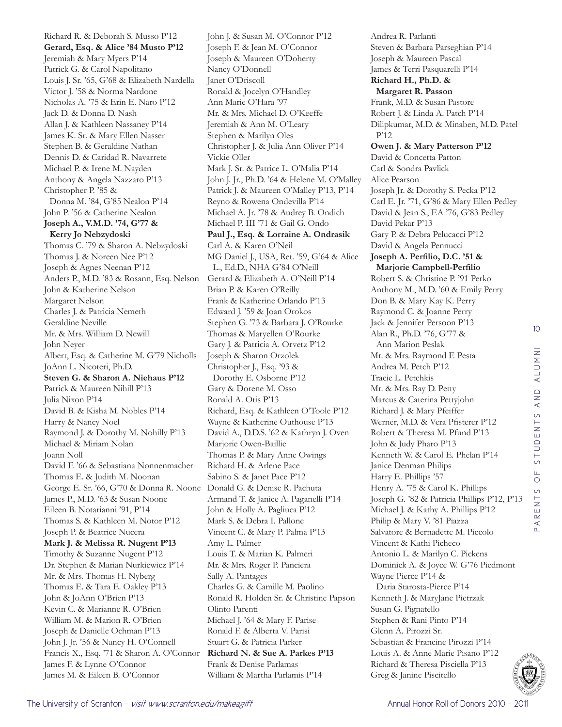Richard R. & Deborah S. Musso P'12 **Gerard, Esq. & Alice '84 Musto P'12** Jeremiah & Mary Myers P'14 Patrick G. & Carol Napolitano Louis J. Sr. '65, G'68 & Elizabeth Nardella Victor J. '58 & Norma Nardone Nicholas A. '75 & Erin E. Naro P'12 Jack D. & Donna D. Nash Allan J. & Kathleen Nassaney P'14 James K. Sr. & Mary Ellen Nasser Stephen B. & Geraldine Nathan Dennis D. & Caridad R. Navarrete Michael P. & Irene M. Nayden Anthony & Angela Nazzaro P'13 Christopher P. '85 & Donna M. '84, G'85 Nealon P'14 John P. '56 & Catherine Nealon **Joseph A., V.M.D. '74, G'77 & Kerry Jo Nebzydoski** Thomas C. '79 & Sharon A. Nebzydoski Thomas J. & Noreen Nee P'12 Joseph & Agnes Neenan P'12 Anders P., M.D. '83 & Rosann, Esq. Nelson John & Katherine Nelson Margaret Nelson Charles J. & Patricia Nemeth Geraldine Neville Mr. & Mrs. William D. Newill John Neyer Albert, Esq. & Catherine M. G'79 Nicholls JoAnn L. Nicoteri, Ph.D. **Steven G. & Sharon A. Niehaus P'12** Patrick & Maureen Nihill P'13 Julia Nixon P'14 David B. & Kisha M. Nobles P'14 Harry & Nancy Noel Raymond J. & Dorothy M. Nohilly P'13 Michael & Miriam Nolan Joann Noll David F. '66 & Sebastiana Nonnenmacher Thomas E. & Judith M. Noonan George E. Sr. '66, G'70 & Donna R. Noone James P., M.D. '63 & Susan Noone Eileen B. Notarianni '91, P'14 Thomas S. & Kathleen M. Notor P'12 Joseph P. & Beatrice Nucera **Mark J. & Melissa R. Nugent P'13** Timothy & Suzanne Nugent P'12 Dr. Stephen & Marian Nurkiewicz P'14 Mr. & Mrs. Thomas H. Nyberg Thomas E. & Tara E. Oakley P'13 John & JoAnn O'Brien P'13 Kevin C. & Marianne R. O'Brien William M. & Marion R. O'Brien Joseph & Danielle Ochman P'13 John J. Jr. '56 & Nancy H. O'Connell Francis X., Esq. '71 & Sharon A. O'Connor James F. & Lynne O'Connor James M. & Eileen B. O'Connor

John J. & Susan M. O'Connor P'12 Joseph F. & Jean M. O'Connor Joseph & Maureen O'Doherty Nancy O'Donnell Janet O'Driscoll Ronald & Jocelyn O'Handley Ann Marie O'Hara '97 Mr. & Mrs. Michael D. O'Keeffe Jeremiah & Ann M. O'Leary Stephen & Marilyn Oles Christopher J. & Julia Ann Oliver P'14 Vickie Oller Mark J. Sr. & Patrice L. O'Malia P'14 John J. Jr., Ph.D. '64 & Helene M. O'Malley Patrick J. & Maureen O'Malley P'13, P'14 Reyno & Rowena Ondevilla P'14 Michael A. Jr. '78 & Audrey B. Ondich Michael P. III '71 & Gail G. Ondo **Paul J., Esq. & Lorraine A. Ondrasik** Carl A. & Karen O'Neil MG Daniel J., USA, Ret. '59, G'64 & Alice L., Ed.D., NHA G'84 O'Neill Gerard & Elizabeth A. O'Neill P'14 Brian P. & Karen O'Reilly Frank & Katherine Orlando P'13 Edward J. '59 & Joan Orokos Stephen G. '73 & Barbara J. O'Rourke Thomas & Maryellen O'Rourke Gary J. & Patricia A. Orvetz P'12 Joseph & Sharon Orzolek Christopher J., Esq. '93 & Dorothy E. Osborne P'12 Gary & Dorene M. Osso Ronald A. Otis P'13 Richard, Esq. & Kathleen O'Toole P'12 Wayne & Katherine Outhouse P'13 David A., D.D.S. '62 & Kathryn J. Oven Marjorie Owen-Baillie Thomas P. & Mary Anne Owings Richard H. & Arlene Pace Sabino S. & Janet Pace P'12 Donald G. & Denise R. Pachuta Armand T. & Janice A. Paganelli P'14 John & Holly A. Pagliuca P'12 Mark S. & Debra I. Pallone Vincent C. & Mary P. Palma P'13 Amy L. Palmer Louis T. & Marian K. Palmeri Mr. & Mrs. Roger P. Panciera Sally A. Pantages Charles G. & Camille M. Paolino Ronald R. Holden Sr. & Christine Papson Olinto Parenti Michael J. '64 & Mary F. Parise Ronald F. & Alberta V. Parisi Stuart G. & Patricia Parker **Richard N. & Sue A. Parkes P'13** Frank & Denise Parlamas William & Martha Parlamis P'14

Andrea R. Parlanti Steven & Barbara Parseghian P'14 Joseph & Maureen Pascal James & Terri Pasquarelli P'14 **Richard H., Ph.D. & Margaret R. Passon** Frank, M.D. & Susan Pastore Robert J. & Linda A. Patch P'14 Dilipkumar, M.D. & Minaben, M.D. Patel P'12 **Owen J. & Mary Patterson P'12** David & Concetta Patton Carl & Sondra Pavlick Alice Pearson Joseph Jr. & Dorothy S. Pecka P'12 Carl E. Jr. '71, G'86 & Mary Ellen Pedley David & Jean S., EA '76, G'83 Pedley David Pekar P'13 Gary P. & Debra Pelucacci P'12 David & Angela Pennucci **Joseph A. Perfilio, D.C. '51 & Marjorie Campbell-Perfilio** Robert S. & Christine P. '91 Perko Anthony M., M.D. '60 & Emily Perry Don B. & Mary Kay K. Perry Raymond C. & Joanne Perry Jack & Jennifer Persoon P'13 Alan R., Ph.D. '76, G'77 & Ann Marion Peslak Mr. & Mrs. Raymond F. Pesta Andrea M. Petch P'12 Tracie L. Petchkis Mr. & Mrs. Ray D. Petty Marcus & Caterina Pettyjohn Richard J. & Mary Pfeiffer Werner, M.D. & Vera Pfisterer P'12 Robert & Theresa M. Pfund P'13 John & Judy Pharo P'13 Kenneth W. & Carol E. Phelan P'14 Janice Denman Philips Harry E. Phillips '57 Henry A. '75 & Carol K. Phillips Joseph G. '82 & Patricia Phillips P'12, P'13 Michael J. & Kathy A. Phillips P'12 Philip & Mary V. '81 Piazza Salvatore & Bernadette M. Piccolo Vincent & Kathi Picheco Antonio L. & Marilyn C. Pickens Dominick A. & Joyce W. G'76 Piedmont Wayne Pierce P'14 & Daria Starosta-Pierce P'14 Kenneth J. & MaryJane Pietrzak Susan G. Pignatello Stephen & Rani Pinto P'14 Glenn A. Pirozzi Sr. Sebastian & Francine Pirozzi P'14 Louis A. & Anne Marie Pisano P'12 Richard & Theresa Pisciella P'13 Greg & Janine Piscitello



10

PARENTS OF STUDENTS AND ALUMNI

PARENTS

OF STUDENTS AND ALUMNI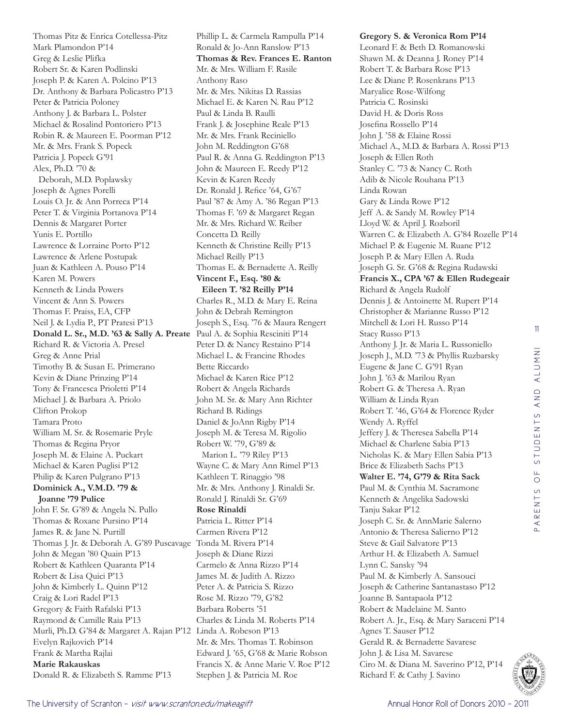Thomas Pitz & Enrica Cotellessa-Pitz Mark Plamondon P'14 Greg & Leslie Plifka Robert Sr. & Karen Podlinski Joseph P. & Karen A. Polcino P'13 Dr. Anthony & Barbara Policastro P'13 Peter & Patricia Poloney Anthony J. & Barbara L. Polster Michael & Rosalind Pontoriero P'13 Robin R. & Maureen E. Poorman P'12 Mr. & Mrs. Frank S. Popeck Patricia J. Popeck G'91 Alex, Ph.D. '70 & Deborah, M.D. Poplawsky Joseph & Agnes Porelli Louis O. Jr. & Ann Porreca P'14 Peter T. & Virginia Portanova P'14 Dennis & Margaret Porter Yunis E. Portillo Lawrence & Lorraine Porto P'12 Lawrence & Arlene Postupak Juan & Kathleen A. Pouso P'14 Karen M. Powers Kenneth & Linda Powers Vincent & Ann S. Powers Thomas F. Praiss, EA, CFP Neil J. & Lydia P., PT Pratesi P'13 **Donald L. Sr., M.D. '63 & Sally A. Preate** Paul A. & Sophia Resciniti P'14 Richard R. & Victoria A. Presel Greg & Anne Prial Timothy B. & Susan E. Primerano Kevin & Diane Prinzing P'14 Tony & Francesca Prioletti P'14 Michael J. & Barbara A. Priolo Clifton Prokop Tamara Proto William M. Sr. & Rosemarie Pryle Thomas & Regina Pryor Joseph M. & Elaine A. Puckart Michael & Karen Puglisi P'12 Philip & Karen Pulgrano P'13 **Dominick A., V.M.D. '79 & Joanne '79 Pulice** John F. Sr. G'89 & Angela N. Pullo Thomas & Roxane Pursino P'14 James R. & Jane N. Purtill Thomas J. Jr. & Deborah A. G'89 Puscavage Tonda M. Rivera P'14 John & Megan '80 Quain P'13 Robert & Kathleen Quaranta P'14 Robert & Lisa Quici P'13 John & Kimberly L. Quinn P'12 Craig & Lori Radel P'13 Gregory & Faith Rafalski P'13 Raymond & Camille Raia P'13 Murli, Ph.D. G'84 & Margaret A. Rajan P'12 Linda A. Robeson P'13 Evelyn Rajkovich P'14 Frank & Martha Rajlai **Marie Rakauskas**  Donald R. & Elizabeth S. Ramme P'13

Phillip L. & Carmela Rampulla P'14 Ronald & Jo-Ann Ranslow P'13 **Thomas & Rev. Frances E. Ranton** Mr. & Mrs. William F. Rasile Anthony Raso Mr. & Mrs. Nikitas D. Rassias Michael E. & Karen N. Rau P'12 Paul & Linda B. Raulli Frank J. & Josephine Reale P'13 Mr. & Mrs. Frank Reciniello John M. Reddington G'68 Paul R. & Anna G. Reddington P'13 John & Maureen E. Reedy P'12 Kevin & Karen Reedy Dr. Ronald J. Refice '64, G'67 Paul '87 & Amy A. '86 Regan P'13 Thomas F. '69 & Margaret Regan Mr. & Mrs. Richard W. Reiber Concetta D. Reilly Kenneth & Christine Reilly P'13 Michael Reilly P'13 Thomas E. & Bernadette A. Reilly **Vincent F., Esq. '80 & Eileen T. '82 Reilly P'14** Charles R., M.D. & Mary E. Reina John & Debrah Remington Joseph S., Esq. '76 & Maura Rengert Peter D. & Nancy Restaino P'14 Michael L. & Francine Rhodes Bette Riccardo Michael & Karen Rice P'12 Robert & Angela Richards John M. Sr. & Mary Ann Richter Richard B. Ridings Daniel & JoAnn Rigby P'14 Joseph M. & Teresa M. Rigolio Robert W. '79, G'89 & Marion L. '79 Riley P'13 Wayne C. & Mary Ann Rimel P'13 Kathleen T. Rinaggio '98 Mr. & Mrs. Anthony J. Rinaldi Sr. Ronald J. Rinaldi Sr. G'69 **Rose Rinaldi**  Patricia L. Ritter P'14 Carmen Rivera P'12 Joseph & Diane Rizzi Carmelo & Anna Rizzo P'14 James M. & Judith A. Rizzo Peter A. & Patricia S. Rizzo Rose M. Rizzo '79, G'82 Barbara Roberts '51 Charles & Linda M. Roberts P'14 Mr. & Mrs. Thomas T. Robinson Edward J. '65, G'68 & Marie Robson Francis X. & Anne Marie V. Roe P'12 Stephen J. & Patricia M. Roe

**Gregory S. & Veronica Rom P'14** Leonard F. & Beth D. Romanowski Shawn M. & Deanna J. Roney P'14 Robert T. & Barbara Rose P'13 Lee & Diane P. Rosenkrans P'13 Maryalice Rose-Wilfong Patricia C. Rosinski David H. & Doris Ross Josefina Rossello P'14 John J. '58 & Elaine Rossi Michael A., M.D. & Barbara A. Rossi P'13 Joseph & Ellen Roth Stanley C. '73 & Nancy C. Roth Adib & Nicole Rouhana P'13 Linda Rowan Gary & Linda Rowe P'12 Jeff A. & Sandy M. Rowley P'14 Lloyd W. & April J. Rozboril Warren C. & Elizabeth A. G'84 Rozelle P'14 Michael P. & Eugenie M. Ruane P'12 Joseph P. & Mary Ellen A. Ruda Joseph G. Sr. G'68 & Regina Rudawski **Francis X., CPA '67 & Ellen Rudegeair** Richard & Angela Rudolf Dennis J. & Antoinette M. Rupert P'14 Christopher & Marianne Russo P'12 Mitchell & Lori H. Russo P'14 Stacy Russo P'13 Anthony J. Jr. & Maria L. Russoniello Joseph J., M.D. '73 & Phyllis Ruzbarsky Eugene & Jane C. G'91 Ryan John J. '63 & Marilou Ryan Robert G. & Theresa A. Ryan William & Linda Ryan Robert T. '46, G'64 & Florence Ryder Wendy A. Ryffel Jeffery J. & Theresea Sabella P'14 Michael & Charlene Sabia P'13 Nicholas K. & Mary Ellen Sabia P'13 Brice & Elizabeth Sachs P'13 **Walter E. '74, G'79 & Rita Sack** Paul M. & Cynthia M. Sacramone Kenneth & Angelika Sadowski Tanju Sakar P'12 Joseph C. Sr. & AnnMarie Salerno Antonio & Theresa Salierno P'12 Steve & Gail Salvatore P'13 Arthur H. & Elizabeth A. Samuel Lynn C. Sansky '94 Paul M. & Kimberly A. Sansouci Joseph & Catherine Santanastaso P'12 Joanne B. Santapaola P'12 Robert & Madelaine M. Santo Robert A. Jr., Esq. & Mary Saraceni P'14 Agnes T. Sauser P'12 Gerald R. & Bernadette Savarese John J. & Lisa M. Savarese Ciro M. & Diana M. Saverino P'12, P'14 Richard F. & Cathy J. Savino

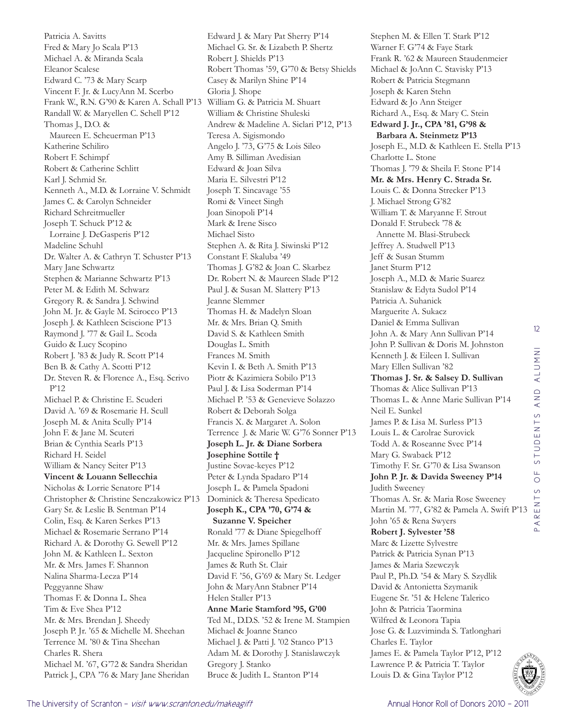Patricia A. Savitts Fred & Mary Jo Scala P'13 Michael A. & Miranda Scala Eleanor Scalese Edward C. '73 & Mary Scarp Vincent F. Jr. & LucyAnn M. Scerbo Frank W., R.N. G'90 & Karen A. Schall P'13 William G. & Patricia M. Shuart Randall W. & Maryellen C. Schell P'12 Thomas J., D.O. & Maureen E. Scheuerman P'13 Katherine Schiliro Robert F. Schimpf Robert & Catherine Schlitt Karl J. Schmid Sr. Kenneth A., M.D. & Lorraine V. Schmidt James C. & Carolyn Schneider Richard Schreitmueller Joseph T. Schuck P'12 & Lorraine J. DeGasperis P'12 Madeline Schuhl Dr. Walter A. & Cathryn T. Schuster P'13 Mary Jane Schwartz Stephen & Marianne Schwartz P'13 Peter M. & Edith M. Schwarz Gregory R. & Sandra J. Schwind John M. Jr. & Gayle M. Scirocco P'13 Joseph J. & Kathleen Sciscione P'13 Raymond J. '77 & Gail L. Scoda Guido & Lucy Scopino Robert J. '83 & Judy R. Scott P'14 Ben B. & Cathy A. Scotti P'12 Dr. Steven R. & Florence A., Esq. Scrivo P'12 Michael P. & Christine E. Scuderi David A. '69 & Rosemarie H. Scull Joseph M. & Anita Scully P'14 John F. & Jane M. Scuteri Brian & Cynthia Searls P'13 Richard H. Seidel William & Nancy Seiter P'13 **Vincent & Louann Sellecchia** Nicholas & Lorrie Senatore P'14 Christopher & Christine Senczakowicz P'13 Gary Sr. & Leslie B. Sentman P'14 Colin, Esq. & Karen Serkes P'13 Michael & Rosemarie Serrano P'14 Richard A. & Dorothy G. Sewell P'12 John M. & Kathleen L. Sexton Mr. & Mrs. James F. Shannon Nalina Sharma-Lecza P'14 Peggyanne Shaw Thomas F. & Donna L. Shea Tim & Eve Shea P'12 Mr. & Mrs. Brendan J. Sheedy Joseph P. Jr. '65 & Michelle M. Sheehan Terrence M. '80 & Tina Sheehan Charles R. Shera Michael M. '67, G'72 & Sandra Sheridan Patrick J., CPA '76 & Mary Jane Sheridan

Edward J. & Mary Pat Sherry P'14 Michael G. Sr. & Lizabeth P. Shertz Robert J. Shields P'13 Robert Thomas '59, G'70 & Betsy Shields Casey & Marilyn Shine P'14 Gloria J. Shope William & Christine Shuleski Andrew & Madeline A. Siclari P'12, P'13 Teresa A. Sigismondo Angelo J. '73, G'75 & Lois Sileo Amy B. Silliman Avedisian Edward & Joan Silva Maria E. Silvestri P'12 Joseph T. Sincavage '55 Romi & Vineet Singh Joan Sinopoli P'14 Mark & Irene Sisco Michael Sisto Stephen A. & Rita J. Siwinski P'12 Constant F. Skaluba '49 Thomas J. G'82 & Joan C. Skarbez Dr. Robert N. & Maureen Slade P'12 Paul J. & Susan M. Slattery P'13 Jeanne Slemmer Thomas H. & Madelyn Sloan Mr. & Mrs. Brian Q. Smith David S. & Kathleen Smith Douglas L. Smith Frances M. Smith Kevin I. & Beth A. Smith P'13 Piotr & Kazimiera Sobilo P'13 Paul J. & Lisa Soderman P'14 Michael P. '53 & Genevieve Solazzo Robert & Deborah Solga Francis X. & Margaret A. Solon Terrence J. & Marie W. G'76 Sonner P'13 **Joseph L. Jr. & Diane Sorbera Josephine Sottile †** Justine Sovae-keyes P'12 Peter & Lynda Spadaro P'14 Joseph L. & Pamela Spadoni Dominick & Theresa Spedicato **Joseph K., CPA '70, G'74 & Suzanne V. Speicher** Ronald '77 & Diane Spiegelhoff Mr. & Mrs. James Spillane Jacqueline Spironello P'12 James & Ruth St. Clair David F. '56, G'69 & Mary St. Ledger John & MaryAnn Stabner P'14 Helen Staller P'13 **Anne Marie Stamford '95, G'00** Ted M., D.D.S. '52 & Irene M. Stampien Michael & Joanne Stanco Michael J. & Patti J. '02 Stanco P'13 Adam M. & Dorothy J. Stanislawczyk Gregory J. Stanko Bruce & Judith L. Stanton P'14

Stephen M. & Ellen T. Stark P'12 Warner F. G'74 & Faye Stark Frank R. '62 & Maureen Staudenmeier Michael & JoAnn C. Stavisky P'13 Robert & Patricia Stegmann Joseph & Karen Stehn Edward & Jo Ann Steiger Richard A., Esq. & Mary C. Stein **Edward J. Jr., CPA '81, G'98 & Barbara A. Steinmetz P'13** Joseph E., M.D. & Kathleen E. Stella P'13 Charlotte L. Stone Thomas J. '79 & Sheila F. Stone P'14 **Mr. & Mrs. Henry C. Strada Sr.**  Louis C. & Donna Strecker P'13 J. Michael Strong G'82 William T. & Maryanne F. Strout Donald F. Strubeck '78 & Annette M. Blasi-Strubeck Jeffrey A. Studwell P'13 Jeff & Susan Stumm Janet Sturm P'12 Joseph A., M.D. & Marie Suarez Stanislaw & Edyta Sudol P'14 Patricia A. Suhanick Marguerite A. Sukacz Daniel & Emma Sullivan John A. & Mary Ann Sullivan P'14 John P. Sullivan & Doris M. Johnston Kenneth J. & Eileen I. Sullivan Mary Ellen Sullivan '82 **Thomas J. Sr. & Salsey D. Sullivan** Thomas & Alice Sullivan P'13 Thomas L. & Anne Marie Sullivan P'14 Neil E. Sunkel James P. & Lisa M. Surless P'13 Louis L. & Carolrae Surovick Todd A. & Roseanne Svec P'14 Mary G. Swaback P'12 Timothy F. Sr. G'70 & Lisa Swanson **John P. Jr. & Davida Sweeney P'14** Judith Sweeney Thomas A. Sr. & Maria Rose Sweeney Martin M. '77, G'82 & Pamela A. Swift P'13 John '65 & Rena Swyers **Robert J. Sylvester '58** Marc & Lizette Sylvestre Patrick & Patricia Synan P'13 James & Maria Szewczyk Paul P., Ph.D. '54 & Mary S. Szydlik David & Antonietta Szymanik Eugene Sr. '51 & Helene Talerico John & Patricia Taormina Wilfred & Leonora Tapia Jose G. & Luzviminda S. Tatlonghari Charles E. Taylor James E. & Pamela Taylor P'12, P'12 Lawrence P. & Patricia T. Taylor Louis D. & Gina Taylor P'12

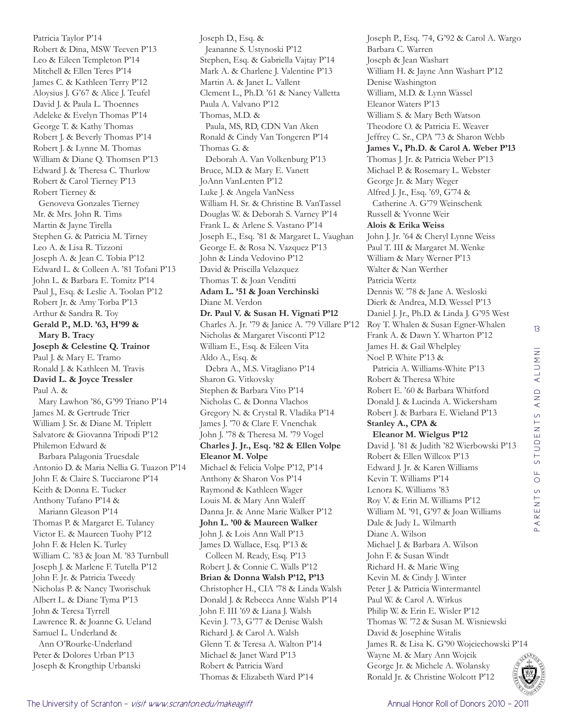Patricia Taylor P'14 Robert & Dina, MSW Teeven P'13 Leo & Eileen Templeton P'14 Mitchell & Ellen Teres P'14 James C. & Kathleen Terry P'12 Aloysius J. G'67 & Alice J. Teufel David J. & Paula L. Thoennes Adeleke & Evelyn Thomas P'14 George T. & Kathy Thomas Robert J. & Beverly Thomas P'14 Robert J. & Lynne M. Thomas William & Diane Q. Thomsen P'13 Edward J. & Theresa C. Thurlow Robert & Carol Tierney P'13 Robert Tierney & Genoveva Gonzales Tierney Mr. & Mrs. John R. Tims Martin & Jayne Tirella Stephen G. & Patricia M. Tirney Leo A. & Lisa R. Tizzoni Joseph A. & Jean C. Tobia P'12 Edward L. & Colleen A. '81 Tofani P'13 John L. & Barbara E. Tomitz P'14 Paul J., Esq. & Leslie A. Toolan P'12 Robert Jr. & Amy Torba P'13 Arthur & Sandra R. Toy **Gerald P., M.D. '63, H'99 & Mary B. Tracy Joseph & Celestine Q. Trainor** Paul J. & Mary E. Tramo Ronald J. & Kathleen M. Travis **David L. & Joyce Tressler** Paul A. & Mary Lawhon '86, G'99 Triano P'14 James M. & Gertrude Trier William J. Sr. & Diane M. Triplett Salvatore & Giovanna Tripodi P'12 Philemon Edward & Barbara Palagonia Truesdale Antonio D. & Maria Nellia G. Tuazon P'14 John F. & Claire S. Tucciarone P'14 Keith & Donna E. Tucker Anthony Tufano P'14 & Mariann Gleason P'14 Thomas P. & Margaret E. Tulaney Victor E. & Maureen Tuohy P'12 John F. & Helen K. Turley William C. '83 & Joan M. '83 Turnbull Joseph J. & Marlene F. Tutella P'12 John F. Jr. & Patricia Tweedy Nicholas P. & Nancy Tworischuk Albert L. & Diane Tyma P'13 John & Teresa Tyrrell Lawrence R. & Joanne G. Ueland Samuel L. Underland & Ann O'Rourke-Underland Peter & Dolores Urban P'13 Joseph & Krongthip Urbanski

Joseph D., Esq. & Jeananne S. Ustynoski P'12 Stephen, Esq. & Gabriella Vajtay P'14 Mark A. & Charlene J. Valentine P'13 Martin A. & Janet L. Vallent Clement L., Ph.D. '61 & Nancy Valletta Paula A. Valvano P'12 Thomas, M.D. & Paula, MS, RD, CDN Van Aken Ronald & Cindy Van Tongeren P'14 Thomas G. & Deborah A. Van Volkenburg P'13 Bruce, M.D. & Mary E. Vanett JoAnn VanLenten P'12 Luke J. & Angela VanNess William H. Sr. & Christine B. VanTassel Douglas W. & Deborah S. Varney P'14 Frank L. & Arlene S. Vastano P'14 Joseph E., Esq. '81 & Margaret L. Vaughan George E. & Rosa N. Vazquez P'13 John & Linda Vedovino P'12 David & Priscilla Velazquez Thomas T. & Joan Venditti **Adam L. '51 & Joan Verchinski** Diane M. Verdon **Dr. Paul V. & Susan H. Vignati P'12** Charles A. Jr. '79 & Janice A. '79 Villare P'12 Nicholas & Margaret Visconti P'12 William E., Esq. & Eileen Vita Aldo A., Esq. & Debra A., M.S. Vitagliano P'14 Sharon G. Vitkovsky Stephen & Barbara Vito P'14 Nicholas C. & Donna Vlachos Gregory N. & Crystal R. Vladika P'14 James J. '70 & Clare F. Vnenchak John J. '78 & Theresa M. '79 Vogel **Charles J. Jr., Esq. '82 & Ellen Volpe Eleanor M. Volpe**  Michael & Felicia Volpe P'12, P'14 Anthony & Sharon Vos P'14 Raymond & Kathleen Wager Louis M. & Mary Ann Waleff Danna Jr. & Anne Marie Walker P'12 **John L. '00 & Maureen Walker** John J. & Lois Ann Wall P'13 James D. Wallace, Esq. P'13 & Colleen M. Ready, Esq. P'13 Robert J. & Connie C. Walls P'12 **Brian & Donna Walsh P'12, P'13** Christopher H., CIA '78 & Linda Walsh Donald J. & Rebecca Anne Walsh P'14 John F. III '69 & Liana J. Walsh Kevin J. '73, G'77 & Denise Walsh Richard J. & Carol A. Walsh Glenn T. & Teresa A. Walton P'14 Michael & Janet Ward P'13 Robert & Patricia Ward Thomas & Elizabeth Ward P'14

Joseph P., Esq. '74, G'92 & Carol A. Wargo Barbara C. Warren Joseph & Jean Washart William H. & Jayne Ann Washart P'12 Denise Washington William, M.D. & Lynn Wassel Eleanor Waters P'13 William S. & Mary Beth Watson Theodore O. & Patricia E. Weaver Jeffrey C. Sr., CPA '73 & Sharon Webb **James V., Ph.D. & Carol A. Weber P'13** Thomas J. Jr. & Patricia Weber P'13 Michael P. & Rosemary L. Webster George Jr. & Mary Weger Alfred J. Jr., Esq. '69, G'74 & Catherine A. G'79 Weinschenk Russell & Yvonne Weir **Alois & Erika Weiss** John J. Jr. '64 & Cheryl Lynne Weiss Paul T. III & Margaret M. Wenke William & Mary Werner P'13 Walter & Nan Werther Patricia Wertz Dennis W. '78 & Jane A. Wesloski Dierk & Andrea, M.D. Wessel P'13 Daniel J. Jr., Ph.D. & Linda J. G'95 West Roy T. Whalen & Susan Egner-Whalen Frank A. & Dawn Y. Wharton P'12 James H. & Gail Whelpley Noel P. White P'13 & Patricia A. Williams-White P'13 Robert & Theresa White Robert E. '60 & Barbara Whitford Donald J. & Lucinda A. Wickersham Robert J. & Barbara E. Wieland P'13 **Stanley A., CPA & Eleanor M. Wielgus P'12** David J. '81 & Judith '82 Wierbowski P'13 Robert & Ellen Willcox P'13 Edward J. Jr. & Karen Williams Kevin T. Williams P'14 Lenora K. Williams '83 Roy V. & Erin M. Williams P'12 William M. '91, G'97 & Joan Williams Dale & Judy L. Wilmarth Diane A. Wilson Michael J. & Barbara A. Wilson John F. & Susan Windt Richard H. & Marie Wing Kevin M. & Cindy J. Winter Peter J. & Patricia Wintermantel Paul W. & Carol A. Wirkus Philip W. & Erin E. Wisler P'12 Thomas W. '72 & Susan M. Wisniewski David & Josephine Witalis James R. & Lisa K. G'90 Wojciechowski P'14 Wayne M. & Mary Ann Wojcik George Jr. & Michele A. Wolansky Ronald Jr. & Christine Wolcott P'12